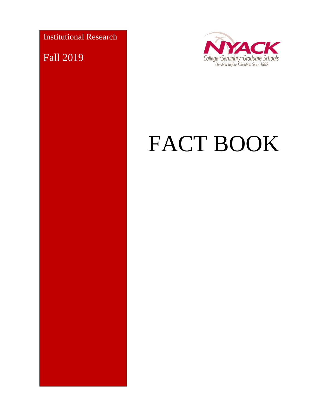Institutional Research

Fall 2019



# FACT BOOK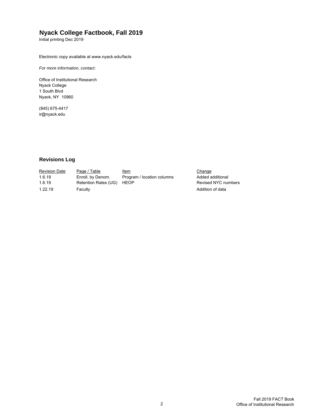#### **Nyack College Factbook, Fall 2019**

Initial printing Dec 2019

Electronic copy available at www.nyack.edu/facts

*For more information, contact:*

Office of Institutional Research Nyack College 1 South Blvd Nyack, NY 10960

(845) 675-4417 ir@nyack.edu

#### **Revisions Log**

| <b>Revision Date</b> | Page / Table              | <u>Item</u>                | Change              |
|----------------------|---------------------------|----------------------------|---------------------|
| 1.6.19               | Enroll, by Denom.         | Program / location columns | Added additional    |
| 1.6.19               | Retention Rates (UG) HEOP |                            | Revised NYC numbers |
| 1.22.19              | Faculty                   |                            | Addition of data    |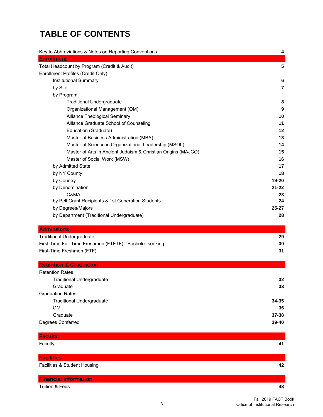# **TABLE OF CONTENTS**

| Key to Abbreviations & Notes on Reporting Conventions         | 4              |
|---------------------------------------------------------------|----------------|
| <b>Enrollment</b>                                             |                |
| Total Headcount by Program (Credit & Audit)                   | 5              |
| Enrollment Profiles (Credit Only)                             |                |
| Institutional Summary                                         | 6              |
| by Site                                                       | $\overline{7}$ |
| by Program                                                    |                |
| <b>Traditional Undergraduate</b>                              | 8              |
| Organizational Management (OM)                                | 9              |
| Alliance Theological Seminary                                 | 10             |
| Alliance Graduate School of Counseling                        | 11             |
| Education (Graduate)                                          | 12             |
| Master of Business Administration (MBA)                       | 13             |
| Master of Science in Organizational Leadership (MSOL)         | 14             |
| Master of Arts in Ancient Judaism & Christian Origins (MAJCO) | 15             |
| Master of Social Work (MSW)                                   | 16             |
| by Admitted State                                             | 17             |
| by NY County                                                  | 18             |
| by Country                                                    | 19-20          |
| by Denomination                                               | $21 - 22$      |
| C&MA                                                          | 23             |
| by Pell Grant Recipients & 1st Generation Students            | 24             |
| by Degrees/Majors                                             | $25 - 27$      |
| by Department (Traditional Undergraduate)                     | 28             |
| <b>Admissions</b>                                             |                |
| <b>Traditional Undergraduate</b>                              | 29             |
| First-Time Full-Time Freshmen (FTFTF) - Bachelor-seeking      | 30             |
| First-Time Freshmen (FTF)                                     | 31             |

| <b>Retention &amp; Graduation</b> |           |
|-----------------------------------|-----------|
| <b>Retention Rates</b>            |           |
| <b>Traditional Undergraduate</b>  | 32        |
| Graduate                          | 33        |
| <b>Graduation Rates</b>           |           |
| <b>Traditional Undergraduate</b>  | 34-35     |
| <b>OM</b>                         | 36        |
| Graduate                          | $37 - 38$ |
| Degrees Conferred                 | 39-40     |
|                                   |           |

| <b>Faculty</b>               |    |
|------------------------------|----|
| Faculty                      | 41 |
|                              |    |
| <b>Facilities</b>            |    |
| Facilities & Student Housing | 42 |
|                              |    |
| <b>Financial Information</b> |    |
| Tuition & Fees               | 43 |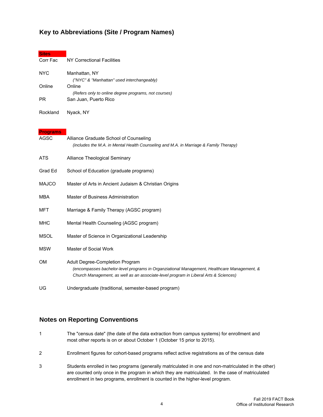#### **Key to Abbreviations (Site / Program Names)**

| <b>Sites</b>    |                                                                                                                                                                                                                        |
|-----------------|------------------------------------------------------------------------------------------------------------------------------------------------------------------------------------------------------------------------|
| Corr Fac        | NY Correctional Facilities                                                                                                                                                                                             |
| <b>NYC</b>      | Manhattan, NY                                                                                                                                                                                                          |
|                 | ("NYC" & "Manhattan" used interchangeably)                                                                                                                                                                             |
| Online          | Online<br>(Refers only to online degree programs, not courses)                                                                                                                                                         |
| <b>PR</b>       | San Juan, Puerto Rico                                                                                                                                                                                                  |
| Rockland        | Nyack, NY                                                                                                                                                                                                              |
| <b>Programs</b> |                                                                                                                                                                                                                        |
| AGSC            | Alliance Graduate School of Counseling                                                                                                                                                                                 |
|                 | (includes the M.A. in Mental Health Counseling and M.A. in Marriage & Family Therapy)                                                                                                                                  |
| ATS             | Alliance Theological Seminary                                                                                                                                                                                          |
| Grad Ed         | School of Education (graduate programs)                                                                                                                                                                                |
| <b>MAJCO</b>    | Master of Arts in Ancient Judaism & Christian Origins                                                                                                                                                                  |
| <b>MBA</b>      | Master of Business Administration                                                                                                                                                                                      |
| MFT             | Marriage & Family Therapy (AGSC program)                                                                                                                                                                               |
| <b>MHC</b>      | Mental Health Counseling (AGSC program)                                                                                                                                                                                |
| <b>MSOL</b>     | Master of Science in Organizational Leadership                                                                                                                                                                         |
| <b>MSW</b>      | Master of Social Work                                                                                                                                                                                                  |
| OМ              | Adult Degree-Completion Program<br>(encompasses bachelor-level programs in Organziational Management, Healthcare Management, &<br>Church Management, as well as an associate-level program in Liberal Arts & Sciences) |
| UG              | Undergraduate (traditional, semester-based program)                                                                                                                                                                    |

#### **Notes on Reporting Conventions**

- 1 The "census date" (the date of the data extraction from campus systems) for enrollment and most other reports is on or about October 1 (October 15 prior to 2015).
- 2 Enrollment figures for cohort-based programs reflect active registrations as of the census date
- 3 Students enrolled in two programs (generally matriculated in one and non-matriculated in the other) are counted only once in the program in which they are matriculated. In the case of matriculated enrollment in two programs, enrollment is counted in the higher-level program.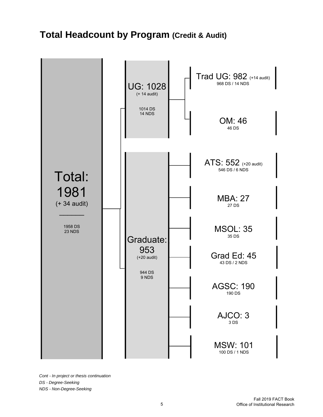# **Total Headcount by Program (Credit & Audit)**



*Cont - In project or thesis continuation DS - Degree-Seeking NDS - Non-Degree-Seeking*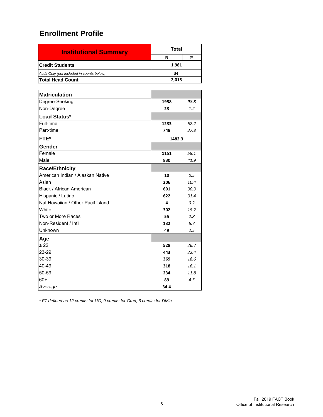| <b>Institutional Summary</b>              | Total  |  |  |  |  |  |
|-------------------------------------------|--------|--|--|--|--|--|
|                                           | %<br>N |  |  |  |  |  |
| <b>Credit Students</b><br>1,981           |        |  |  |  |  |  |
| Audit Only (not included in counts below) | 34     |  |  |  |  |  |
| <b>Total Head Count</b>                   | 2.015  |  |  |  |  |  |

| <b>Matriculation</b>              |        |      |
|-----------------------------------|--------|------|
| Degree-Seeking                    | 1958   | 98.8 |
| Non-Degree                        | 23     | 1.2  |
| Load Status*                      |        |      |
| Full-time                         | 1233   | 62.2 |
| Part-time                         | 748    | 37.8 |
| FTE*                              | 1482.3 |      |
| Gender                            |        |      |
| Female                            | 1151   | 58.1 |
| Male                              | 830    | 41.9 |
| <b>Race/Ethnicity</b>             |        |      |
| American Indian / Alaskan Native  | 10     | 0.5  |
| Asian                             | 206    | 10.4 |
| Black / African American          | 601    | 30.3 |
| Hispanic / Latino                 | 622    | 31.4 |
| Nat Hawaiian / Other Pacif Island | 4      | 0.2  |
| White                             | 302    | 15.2 |
| Two or More Races                 | 55     | 2.8  |
| Non-Resident / Int'l              | 132    | 6.7  |
| Unknown                           | 49     | 2.5  |
| Age                               |        |      |
| $\leq 22$                         | 528    | 26.7 |
| 23-29                             | 443    | 22.4 |
| 30-39                             | 369    | 18.6 |
| 40-49                             | 318    | 16.1 |
| 50-59                             | 234    | 11.8 |
| $60+$                             | 89     | 4.5  |
| Average                           | 34.4   |      |

*\* FT defined as 12 credits for UG, 9 credits for Grad, 6 credits for DMin*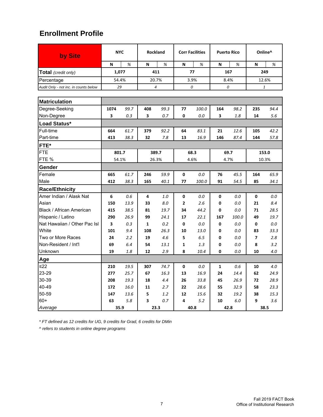| by Site                               | <b>NYC</b> |      | <b>Rockland</b> |                | <b>Corr Facilities</b> |       | <b>Puerto Rico</b> |       | Online^        |                                                       |
|---------------------------------------|------------|------|-----------------|----------------|------------------------|-------|--------------------|-------|----------------|-------------------------------------------------------|
|                                       | N          | %    | N               | %              | N                      | %     | N                  | %     | N              | %                                                     |
| Total (credit only)                   | 1,077      |      |                 | 411            | 77                     |       |                    | 167   | 249            |                                                       |
| Percentage                            | 54.4%      |      |                 | 20.7%          |                        | 3.9%  |                    | 8.4%  |                | 12.6%                                                 |
| Audit Only - not inc. in counts below | 29         |      |                 | $\overline{4}$ |                        | 0     |                    | 0     |                | $\mathbf{1}% _{T}=\mathbf{1}_{T}\times\mathbf{2}_{T}$ |
|                                       |            |      |                 |                |                        |       |                    |       |                |                                                       |
| <b>Matriculation</b>                  |            |      |                 |                |                        |       |                    |       |                |                                                       |
| Degree-Seeking                        | 1074       | 99.7 | 408             | 99.3           | 77                     | 100.0 | 164                | 98.2  | 235            | 94.4                                                  |
| Non-Degree                            | 3          | 0.3  | 3               | 0.7            | 0                      | 0.0   | 3                  | 1.8   | 14             | 5.6                                                   |
| Load Status*                          |            |      |                 |                |                        |       |                    |       |                |                                                       |
| Full-time                             | 664        | 61.7 | 379             | 92.2           | 64                     | 83.1  | 21                 | 12.6  | 105            | 42.2                                                  |
| Part-time                             | 413        | 38.3 | 32              | 7.8            | 13                     | 16.9  | 146                | 87.4  | 144            | 57.8                                                  |
| FTE*                                  |            |      |                 |                |                        |       |                    |       |                |                                                       |
| <b>FTE</b>                            | 801.7      |      |                 | 389.7          |                        | 68.3  |                    | 69.7  | 153.0          |                                                       |
| FTE %                                 | 54.1%      |      |                 | 26.3%          | 4.6%                   |       | 4.7%               |       | 10.3%          |                                                       |
| Gender                                |            |      |                 |                |                        |       |                    |       |                |                                                       |
| Female                                | 665        | 61.7 | 246             | 59.9           | 0                      | 0.0   | 76                 | 45.5  | 164            | 65.9                                                  |
| Male                                  | 412        | 38.3 | 165             | 40.1           | 77                     | 100.0 | 91                 | 54.5  | 85             | 34.1                                                  |
| <b>Race/Ethnicity</b>                 |            |      |                 |                |                        |       |                    |       |                |                                                       |
| Amer Indian / Alask Nat               | 6          | 0.6  | 4               | 1.0            | 0                      | 0.0   | 0                  | 0.0   | 0              | 0.0                                                   |
| Asian                                 | 150        | 13.9 | 33              | 8.0            | $\overline{2}$         | 2.6   | 0                  | 0.0   | 21             | 8.4                                                   |
| Black / African American              | 415        | 38.5 | 81              | 19.7           | 34                     | 44.2  | 0                  | 0.0   | 71             | 28.5                                                  |
| Hispanic / Latino                     | 290        | 26.9 | 99              | 24.1           | 17                     | 22.1  | 167                | 100.0 | 49             | 19.7                                                  |
| Nat Hawaiian / Other Pac Isl          | 3          | 0.3  | $\mathbf{1}$    | 0.2            | 0                      | 0.0   | 0                  | 0.0   | 0              | 0.0                                                   |
| White                                 | 101        | 9.4  | 108             | 26.3           | 10                     | 13.0  | 0                  | 0.0   | 83             | 33.3                                                  |
| Two or More Races                     | 24         | 2.2  | 19              | 4.6            | 5                      | 6.5   | 0                  | 0.0   | $\overline{ }$ | 2.8                                                   |
| Non-Resident / Int'l                  | 69         | 6.4  | 54              | 13.1           | 1                      | 1.3   | 0                  | 0.0   | 8              | 3.2                                                   |
| Unknown                               | 19         | 1.8  | 12              | 2.9            | 8                      | 10.4  | 0                  | 0.0   | 10             | 4.0                                                   |
| <b>Age</b>                            |            |      |                 |                |                        |       |                    |       |                |                                                       |
| ≤22                                   | 210        | 19.5 | 307             | 74.7           | 0                      | 0.0   | 1                  | 0.6   | 10             | 4.0                                                   |
| 23-29                                 | 277        | 25.7 | 67              | 16.3           | 13                     | 16.9  | 24                 | 14.4  | 62             | 24.9                                                  |
| 30-39                                 | 208        | 19.3 | 18              | 4.4            | 26                     | 33.8  | 45                 | 26.9  | 72             | 28.9                                                  |
| 40-49                                 | 172        | 16.0 | 11              | 2.7            | 22                     | 28.6  | 55                 | 32.9  | 58             | 23.3                                                  |
| 50-59                                 | 147        | 13.6 | 5               | 1.2            | 12                     | 15.6  | 32                 | 19.2  | 38             | 15.3                                                  |
| $60+$                                 | 63         | 5.8  | 3               | 0.7            | 4                      | 5.2   | 10                 | 6.0   | 9              | 3.6                                                   |
| Average                               | 35.9       |      |                 | 23.3           |                        | 40.8  |                    | 42.8  | 38.5           |                                                       |

*\* FT defined as 12 credits for UG, 9 credits for Grad, 6 credits for DMin*

*^ refers to students in online degree programs*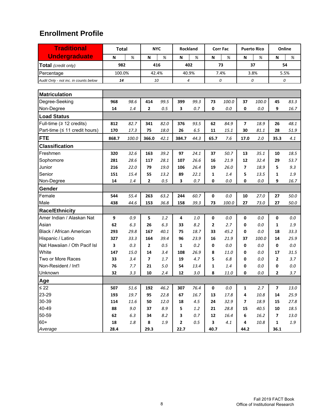| <b>Traditional</b>                    | <b>Total</b> |         | <b>NYC</b>     |         | Rockland     |      |              | <b>Corr Fac</b> |                          | <b>Puerto Rico</b> |              | Online   |
|---------------------------------------|--------------|---------|----------------|---------|--------------|------|--------------|-----------------|--------------------------|--------------------|--------------|----------|
| <b>Undergraduate</b>                  | N            | $\%$    | N              | %       | N            | %    | N            | %               | N                        | %                  | N            | %        |
| Total (credit only)                   | 982          |         |                | 416     |              | 402  |              | 73              | 37                       |                    | 54           |          |
| Percentage                            | 100.0%       |         | 42.4%          |         | 40.9%        |      |              | 7.4%            |                          | 3.8%               | 5.5%         |          |
| Audit Only - not inc. in counts below | 14           |         | 10             |         | 4            |      |              | 0               |                          | 0                  |              | 0        |
|                                       |              |         |                |         |              |      |              |                 |                          |                    |              |          |
| <b>Matriculation</b>                  |              |         |                |         |              |      |              |                 |                          |                    |              |          |
| Degree-Seeking                        | 968          | 98.6    | 414            | 99.5    | 399          | 99.3 | 73           | 100.0           | 37                       | 100.0              | 45           | 83.3     |
| Non-Degree                            | 14           | 1.4     | 2              | 0.5     | 3            | 0.7  | 0            | 0.0             | 0                        | 0.0                | 9            | 16.7     |
| <b>Load Status</b>                    |              |         |                |         |              |      |              |                 |                          |                    |              |          |
| Full-time ( $\geq$ 12 credits)        | 812          | 82.7    | 341            | 82.0    | 376          | 93.5 | 62           | 84.9            | $\overline{ }$           | 18.9               | 26           | 48.1     |
| Part-time (≤ 11 credit hours)         | 170          | 17.3    | 75             | 18.0    | 26           | 6.5  | 11           | 15.1            | 30                       | 81.1               | 28           | 51.9     |
| <b>FTE</b>                            | 868.7        | 100.0   | 366.0          | 42.1    | 384.7        | 44.3 | 65.7         | 7.6             | 17.0                     | 2.0                | 35.3         | 4.1      |
| <b>Classification</b>                 |              |         |                |         |              |      |              |                 |                          |                    |              |          |
| Freshmen                              | 320          | 32.6    | 163            | 39.2    | 97           | 24.1 | 37           | 50.7            | 13                       | 35.1               | 10           | 18.5     |
| Sophomore                             | 281          | 28.6    | 117            | 28.1    | 107          | 26.6 | 16           | 21.9            | 12                       | 32.4               | 29           | 53.7     |
| Junior                                | 216          | 22.0    | 79             | 19.0    | 106          | 26.4 | 19           | 26.0            | $\overline{\phantom{a}}$ | 18.9               | 5            | 9.3      |
| Senior                                | 151          | 15.4    | 55             | 13.2    | 89           | 22.1 | $\mathbf{1}$ | 1.4             | 5                        | 13.5               | 1            | 1.9      |
| Non-Degree                            | 14           | 1.4     | 2              | 0.5     | 3            | 0.7  | 0            | 0.0             | 0                        | 0.0                | 9            | 16.7     |
| Gender                                |              |         |                |         |              |      |              |                 |                          |                    |              |          |
| Female                                | 544          | 55.4    | 263            | 63.2    | 244          | 60.7 | 0            | 0.0             | 10                       | 27.0               | 27           | 50.0     |
| Male                                  | 438          | 44.6    | 153            | 36.8    | 158          | 39.3 | 73           | 100.0           | 27                       | 73.0               | 27           | 50.0     |
| <b>Race/Ethnicity</b>                 |              |         |                |         |              |      |              |                 |                          |                    |              |          |
| Amer Indian / Alaskan Nat             | 9            | 0.9     | 5              | 1.2     | 4            | 1.0  | 0            | 0.0             | 0                        | 0.0                | 0            | 0.0      |
| Asian                                 | 62           | 6.3     | 26             | 6.3     | 33           | 8.2  | 2            | 2.7             | 0                        | 0.0                | 1            | 1.9      |
| Black / African American              | 293          | 29.8    | 167            | 40.1    | 75           | 18.7 | 33           | 45.2            | 0                        | 0.0                | 18           | 33.3     |
| Hispanic / Latino                     | 327          | 33.3    | 164            | 39.4    | 96           | 23.9 | 16           | 21.9            | 37                       | 100.0              | 14           | 25.9     |
| Nat Hawaiian / Oth Pacif Isl          | 3            | 0.3     | 2              | 0.5     | 1            | 0.2  | 0            | 0.0             | 0                        | 0.0                | 0            | 0.0      |
| White                                 | 147          | 15.0    | 14             | 3.4     | 108          | 26.9 | 8            | 11.0            | 0                        | 0.0                | 17           | 31.5     |
| Two or More Races                     | 33           | 3.4     | $\overline{7}$ | 1.7     | 19           | 4.7  | 5            | 6.8             | 0                        | 0.0                | 2            | 3.7      |
| Non-Resident / Int'l                  | 76           | 7.7     | 21             | 5.0     | 54           | 13.4 | 1            | 1.4             | 0                        | 0.0                | 0            | 0.0      |
| Unknown                               | 32           | 3.3     | 10             | 2.4     | 12           | 3.0  | 8            | 11.0            | 0                        | 0.0                | 2            | 3.7      |
| Age                                   |              |         |                |         |              |      |              |                 |                          |                    |              |          |
| $\leq 22$                             | 507          | 51.6    | 192            | 46.2    | 307          | 76.4 | 0            | $0.0\,$         | $\mathbf{1}$             | 2.7                | 7            | 13.0     |
| 23-29                                 | 193          | 19.7    | 95             | 22.8    | 67           | 16.7 | 13           | 17.8            | 4                        | 10.8               | 14           | 25.9     |
| 30-39                                 | 114          | 11.6    | 50             | 12.0    | 18           | 4.5  | 24           | 32.9            | 7                        | 18.9               | 15           | 27.8     |
| 40-49                                 | 88           | $9.0\,$ | 37             | 8.9     | 5            | 1.2  | 21           | 28.8            | 15                       | 40.5               | 10           | 18.5     |
| 50-59                                 | 62           | 6.3     | 34             | 8.2     | 3            | 0.7  | 12           | 16.4            | 6                        | 16.2               | 7            | $13.0\,$ |
| $60+$                                 | 18           | $1.8\,$ | 8              | $1.9\,$ | $\mathbf{2}$ | 0.5  | 3            | 4.1             | 4                        | 10.8               | $\mathbf{1}$ | $1.9\,$  |
| Average                               | 28.4         |         | 29.3           |         | 22.7         |      | 40.7         |                 | 44.2                     |                    | 36.1         |          |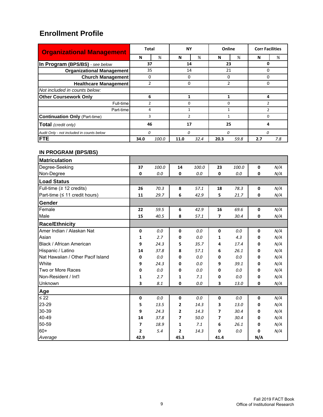| <b>Organizational Management</b>          | Total          |       | <b>NY</b>      |      | Online        |      | <b>Corr Facilities</b> |     |
|-------------------------------------------|----------------|-------|----------------|------|---------------|------|------------------------|-----|
|                                           | N              | %     | N              | %    | N             | %    | N                      | %   |
| In Program (BPS/BS) - see below           | 37             |       | 14             |      | 23            |      | 0                      |     |
| <b>Organizational Management</b>          | 35             |       | 14             |      | 21            |      | 0                      |     |
| <b>Church Management</b>                  | 0              |       | 0              |      | 0             |      | 0                      |     |
| <b>Healthcare Management</b>              | $\overline{2}$ |       | 0              |      | $\mathfrak z$ |      | 0                      |     |
| Not included in counts below:             |                |       |                |      |               |      |                        |     |
| <b>Other Coursework Only</b>              | 6              |       | 1              |      |               |      | 4                      |     |
| Full-time                                 | $\overline{2}$ |       | $\Omega$       |      | 0             |      | $\overline{2}$         |     |
| Part-time                                 | 4              |       | $\mathbf{1}$   |      | 1             |      | $\mathcal{P}$          |     |
| <b>Continuation Only (Part-time)</b>      | 3              |       | $\overline{2}$ |      |               |      | O                      |     |
| <b>Total</b> (credit only)                | 46             |       | 17             |      | 25            |      | 4                      |     |
| Audit Only - not included in counts below | 0              |       | 0              |      | 0             |      | 0                      |     |
| <b>FTE</b>                                | 34.0           | 100.0 | 11.0           | 32.4 | 20.3          | 59.8 | 2.7                    | 7.8 |

| <b>Matriculation</b>                |      |       |      |       |             |       |             |     |
|-------------------------------------|------|-------|------|-------|-------------|-------|-------------|-----|
| Degree-Seeking                      | 37   | 100.0 | 14   | 100.0 | 23          | 100.0 | 0           | N/A |
| Non-Degree                          | 0    | 0.0   | 0    | 0.0   | 0           | 0.0   | 0           | N/A |
| <b>Load Status</b>                  |      |       |      |       |             |       |             |     |
| Full-time ( $\geq$ 12 credits)      | 26   | 70.3  | 8    | 57.1  | 18          | 78.3  | $\mathbf 0$ | N/A |
| Part-time ( $\leq$ 11 credit hours) | 11   | 29.7  | 6    | 42.9  | 5           | 21.7  | 0           | N/A |
| Gender                              |      |       |      |       |             |       |             |     |
| Female                              | 22   | 59.5  | 6    | 42.9  | 16          | 69.6  | 0           | N/A |
| Male                                | 15   | 40.5  | 8    | 57.1  | 7           | 30.4  | 0           | N/A |
| <b>Race/Ethnicity</b>               |      |       |      |       |             |       |             |     |
| Amer Indian / Alaskan Nat           | 0    | 0.0   | 0    | 0.0   | $\mathbf 0$ | 0.0   | 0           | N/A |
| Asian                               | 1    | 2.7   | 0    | 0.0   | 1           | 4.3   | 0           | N/A |
| Black / African American            | 9    | 24.3  | 5    | 35.7  | 4           | 17.4  | 0           | N/A |
| Hispanic / Latino                   | 14   | 37.8  | 8    | 57.1  | 6           | 26.1  | 0           | N/A |
| Nat Hawaiian / Other Pacif Island   | 0    | 0.0   | 0    | 0.0   | 0           | 0.0   | 0           | N/A |
| White                               | 9    | 24.3  | 0    | 0.0   | 9           | 39.1  | 0           | N/A |
| Two or More Races                   | 0    | 0.0   | 0    | 0.0   | 0           | 0.0   | 0           | N/A |
| Non-Resident / Int'l                | 1    | 2.7   | 1    | 7.1   | 0           | 0.0   | 0           | N/A |
| Unknown                             | 3    | 8.1   | 0    | 0.0   | 3           | 13.0  | 0           | N/A |
| Age                                 |      |       |      |       |             |       |             |     |
| $\leq 22$                           | 0    | 0.0   | 0    | 0.0   | 0           | 0.0   | 0           | N/A |
| 23-29                               | 5    | 13.5  | 2    | 14.3  | 3           | 13.0  | 0           | N/A |
| 30-39                               | 9    | 24.3  | 2    | 14.3  | 7           | 30.4  | 0           | N/A |
| 40-49                               | 14   | 37.8  | 7    | 50.0  | 7           | 30.4  | 0           | N/A |
| 50-59                               | 7    | 18.9  | 1    | 7.1   | 6           | 26.1  | 0           | N/A |
| $60+$                               | 2    | 5.4   | 2    | 14.3  | 0           | 0.0   | 0           | N/A |
| Average                             | 42.9 |       | 45.3 |       | 41.4        |       | N/A         |     |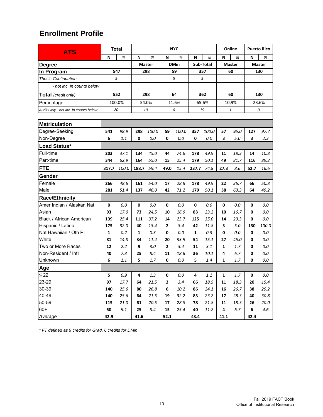| <b>ATS</b>                            |       | <b>Total</b><br><b>NYC</b> |       |               |                |             |       |           | Online |               | <b>Puerto Rico</b> |               |
|---------------------------------------|-------|----------------------------|-------|---------------|----------------|-------------|-------|-----------|--------|---------------|--------------------|---------------|
|                                       | N     | %                          | N     | %             | N              | %           | N     | %         | N      | %             | N                  | %             |
| Degree                                |       |                            |       | <b>Master</b> |                | <b>DMin</b> |       | Sub-Total |        | <b>Master</b> |                    | <b>Master</b> |
| In Program                            |       | 547                        |       | 298           |                | 59          |       | 357       |        | 60            |                    | 130           |
| <b>Thesis Continuation</b>            | 5     |                            |       |               |                | 5           |       | 5         |        |               |                    |               |
| - not inc. in counts below            |       |                            |       |               |                |             |       |           |        |               |                    |               |
| <b>Total</b> (credit only)            |       | 552                        |       | 298           |                | 64          |       | 362       |        | 60            |                    | 130           |
| Percentage                            |       | 100.0%                     |       | 54.0%         |                | 11.6%       |       | 65.6%     |        | 10.9%         |                    | 23.6%         |
| Audit Only - not inc. in counts below | 20    |                            |       | 19            |                | 0           |       | 19        |        | 1             |                    | 0             |
|                                       |       |                            |       |               |                |             |       |           |        |               |                    |               |
| <b>Matriculation</b>                  |       |                            |       |               |                |             |       |           |        |               |                    |               |
| Degree-Seeking                        | 541   | 98.9                       | 298   | 100.0         | 59             | 100.0       | 357   | 100.0     | 57     | 95.0          | 127                | 97.7          |
| Non-Degree                            | 6     | 1.1                        | 0     | 0.0           | 0              | 0.0         | 0     | 0.0       | 3      | 5.0           | 3                  | 2.3           |
| Load Status*                          |       |                            |       |               |                |             |       |           |        |               |                    |               |
| Full-time                             | 203   | 37.1                       | 134   | 45.0          | 44             | 74.6        | 178   | 49.9      | 11     | 18.3          | 14                 | 10.8          |
| Part-time                             | 344   | 62.9                       | 164   | 55.0          | 15             | 25.4        | 179   | 50.1      | 49     | 81.7          | 116                | 89.2          |
| <b>FTE</b>                            | 317.7 | 100.0                      | 188.7 | 59.4          | 49.0           | 15.4        | 237.7 | 74.8      | 27.3   | 8.6           | 52.7               | 16.6          |
| Gender                                |       |                            |       |               |                |             |       |           |        |               |                    |               |
| Female                                | 266   | 48.6                       | 161   | 54.0          | 17             | 28.8        | 178   | 49.9      | 22     | 36.7          | 66                 | 50.8          |
| Male                                  | 281   | 51.4                       | 137   | 46.0          | 42             | 71.2        | 179   | 50.1      | 38     | 63.3          | 64                 | 49.2          |
| <b>Race/Ethnicity</b>                 |       |                            |       |               |                |             |       |           |        |               |                    |               |
| Amer Indian / Alaskan Nat             | 0     | 0.0                        | 0     | 0.0           | 0              | 0.0         | 0     | 0.0       | 0      | 0.0           | 0                  | 0.0           |
| Asian                                 | 93    | 17.0                       | 73    | 24.5          | 10             | 16.9        | 83    | 23.2      | 10     | 16.7          | 0                  | 0.0           |
| Black / African American              | 139   | 25.4                       | 111   | 37.2          | 14             | 23.7        | 125   | 35.0      | 14     | 23.3          | 0                  | 0.0           |
| Hispanic / Latino                     | 175   | 32.0                       | 40    | 13.4          | $\mathbf{2}$   | 3.4         | 42    | 11.8      | 3      | 5.0           | 130                | 100.0         |
| Nat Hawaiian / Oth PI                 | 1     | 0.2                        | 1     | 0.3           | 0              | 0.0         | 1     | 0.3       | 0      | 0.0           | 0                  | 0.0           |
| White                                 | 81    | 14.8                       | 34    | 11.4          | 20             | 33.9        | 54    | 15.1      | 27     | 45.0          | 0                  | 0.0           |
| Two or More Races                     | 12    | 2.2                        | 9     | 3.0           | $\mathbf{2}$   | 3.4         | 11    | 3.1       | 1      | 1.7           | 0                  | 0.0           |
| Non-Resident / Int'l                  | 40    | 7.3                        | 25    | 8.4           | 11             | 18.6        | 36    | 10.1      | 4      | 6.7           | 0                  | 0.0           |
| Unknown                               | 6     | 1.1                        | 5     | 1.7           | 0              | 0.0         | 5     | 1.4       | 1      | 1.7           | 0                  | 0.0           |
| Age                                   |       |                            |       |               |                |             |       |           |        |               |                    |               |
| $\leq 22$                             | 5     | 0.9                        | 4     | 1.3           | $\pmb{0}$      | 0.0         | 4     | 1.1       | 1      | 1.7           | $\pmb{0}$          | 0.0           |
| 23-29                                 | 97    | 17.7                       | 64    | 21.5          | $\overline{2}$ | 3.4         | 66    | 18.5      | 11     | 18.3          | 20                 | 15.4          |
| 30-39                                 | 140   | 25.6                       | 80    | 26.8          | 6              | 10.2        | 86    | 24.1      | 16     | 26.7          | 38                 | 29.2          |
| 40-49                                 | 140   | 25.6                       | 64    | 21.5          | 19             | 32.2        | 83    | 23.2      | 17     | 28.3          | 40                 | 30.8          |
| 50-59                                 | 115   | 21.0                       | 61    | 20.5          | 17             | 28.8        | 78    | 21.8      | 11     | 18.3          | 26                 | 20.0          |
| $60+$                                 | 50    | 9.1                        | 25    | 8.4           | 15             | 25.4        | 40    | 11.2      | 4      | 6.7           | 6                  | $4.6\,$       |
| Average                               | 42.9  |                            | 41.6  |               | 52.1           |             | 43.4  |           | 41.1   |               | 42.4               |               |

*\* FT defined as 9 credits for Grad, 6 credits for DMin*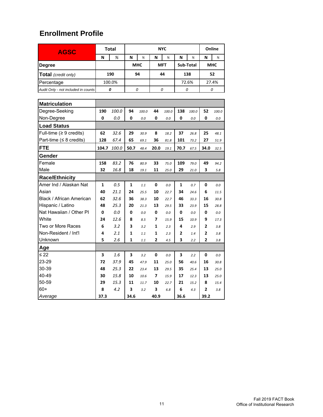| <b>AGSC</b>                         |              | <b>Total</b> |              |            | Online         |            |                |           |                |            |
|-------------------------------------|--------------|--------------|--------------|------------|----------------|------------|----------------|-----------|----------------|------------|
|                                     | N            | %            | N            | $\%$       | N              | %          | N              | $\%$      | N              | %          |
| Degree                              |              |              |              | <b>MHC</b> |                | <b>MFT</b> |                | Sub-Total |                | <b>MHC</b> |
| <b>Total</b> (credit only)          |              | 190          |              | 94         |                | 44         |                | 138       |                | 52         |
| Percentage                          |              | 100.0%       |              |            |                |            |                | 72.6%     |                | 27.4%      |
| Audit Only - not included in counts |              | 0            |              | 0          |                | 0          |                | 0         |                | 0          |
|                                     |              |              |              |            |                |            |                |           |                |            |
| <b>Matriculation</b>                |              |              |              |            |                |            |                |           |                |            |
| Degree-Seeking                      | 190          | 100.0        | 94           | 100.0      | 44             | 100.0      | 138            | 100.0     | 52             | 100.0      |
| Non-Degree                          | 0            | 0.0          | 0            | 0.0        | 0              | 0.0        | 0              | 0.0       | 0              | 0.0        |
| <b>Load Status</b>                  |              |              |              |            |                |            |                |           |                |            |
| Full-time ( $\geq 9$ credits)       | 62           | 32.6         | 29           | 30.9       | 8              | 18.2       | 37             | 26.8      | 25             | 48.1       |
| Part-time (≤ 8 credits)             | 128          | 67.4         | 65           | 69.1       | 36             | 81.8       | 101            | 73.2      | 27             | 51.9       |
| <b>FTE</b>                          | 104.7        | 100.0        | 50.7         | 48.4       | 20.0           | 19.1       | 70.7           | 67.5      | 34.0           | 32.5       |
| Gender                              |              |              |              |            |                |            |                |           |                |            |
| Female                              | 158          | 83.2         | 76           | 80.9       | 33             | 75.0       | 109            | 79.0      | 49             | 94.2       |
| Male                                | 32           | 16.8         | 18           | 19.1       | 11             | 25.0       | 29             | 21.0      | 3              | 5.8        |
| <b>Race/Ethnicity</b>               |              |              |              |            |                |            |                |           |                |            |
| Amer Ind / Alaskan Nat              | $\mathbf{1}$ | 0.5          | 1            | 1.1        | 0              | 0.0        | 1              | 0.7       | 0              | 0.0        |
| Asian                               | 40           | 21.1         | 24           | 25.5       | 10             | 22.7       | 34             | 24.6      | 6              | 11.5       |
| Black / African American            | 62           | 32.6         | 36           | 38.3       | 10             | 22.7       | 46             | 33.3      | 16             | 30.8       |
| Hispanic / Latino                   | 48           | 25.3         | 20           | 21.3       | 13             | 29.5       | 33             | 23.9      | 15             | 28.8       |
| Nat Hawaiian / Other PI             | 0            | 0.0          | 0            | 0.0        | 0              | $0.0\,$    | 0              | $0.0\,$   | 0              | $0.0\,$    |
| White                               | 24           | 12.6         | 8            | 8.5        | 7              | 15.9       | 15             | 10.9      | 9              | 17.3       |
| Two or More Races                   | 6            | 3.2          | 3            | 3.2        | 1              | 2.3        | 4              | 2.9       | $\overline{2}$ | 3.8        |
| Non-Resident / Int'l                | 4            | 2.1          | 1            | 1.1        | 1              | 2.3        | $\overline{2}$ | 1.4       | 2              | 3.8        |
| Unknown                             | 5            | 2.6          | $\mathbf{1}$ | 1.1        | $\overline{2}$ | 4.5        | 3              | 2.2       | $\overline{2}$ | 3.8        |
| Age                                 |              |              |              |            |                |            |                |           |                |            |
| $\leq 22$                           | 3            | 1.6          | 3            | 3.2        | 0              | $0.0\,$    | 3              | 2.2       | 0              | $0.0\,$    |
| 23-29                               | 72           | 37.9         | 45           | 47.9       | 11             | 25.0       | 56             | 40.6      | 16             | 30.8       |
| 30-39                               | 48           | 25.3         | 22           | 23.4       | 13             | 29.5       | 35             | 25.4      | 13             | 25.0       |
| 40-49                               | 30           | 15.8         | 10           | 10.6       | 7              | 15.9       | 17             | 12.3      | 13             | 25.0       |
| 50-59                               | 29           | 15.3         | 11           | 11.7       | 10             | 22.7       | 21             | 15.2      | 8              | 15.4       |
| 60+                                 | 8            | 4.2          | 3            | 3.2        | 3              | 6.8        | 6              | 4.3       | 2              | 3.8        |
| Average                             | 37.3         |              | 34.6         |            | 40.9           |            | 36.6           |           | 39.2           |            |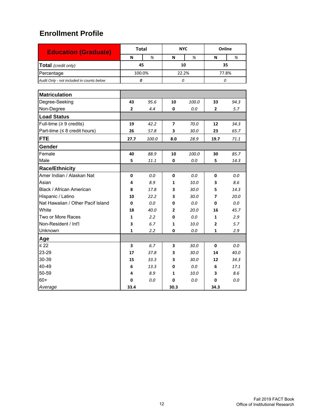| <b>Education (Graduate)</b>               |              | <b>Total</b> |      | <b>NYC</b> | Online         |      |  |
|-------------------------------------------|--------------|--------------|------|------------|----------------|------|--|
|                                           | N            | %            | N    | %          | N              | %    |  |
| Total (credit only)                       |              | 45           |      | 10         | 35             |      |  |
| Percentage                                |              | 100.0%       |      | 22.2%      | 77.8%          |      |  |
| Audit Only - not included in counts below | 0            |              |      | 0          | 0              |      |  |
|                                           |              |              |      |            |                |      |  |
| <b>Matriculation</b>                      |              |              |      |            |                |      |  |
| Degree-Seeking                            | 43           | 95.6         | 10   | 100.0      | 33             | 94.3 |  |
| Non-Degree                                | $\mathbf{2}$ | 4.4          | 0    | 0.0        | $\mathbf{2}$   | 5.7  |  |
| <b>Load Status</b>                        |              |              |      |            |                |      |  |
| Full-time ( $\geq 9$ credits)             | 19           | 42.2         | 7    | 70.0       | 12             | 34.3 |  |
| Part-time ( $\leq 8$ credit hours)        | 26           | 57.8         | 3    | 30.0       | 23             | 65.7 |  |
| <b>FTE</b>                                | 27.7         | 100.0        | 8.0  | 28.9       | 19.7           | 71.1 |  |
| Gender                                    |              |              |      |            |                |      |  |
| Female                                    | 40           | 88.9         | 10   | 100.0      | 30             | 85.7 |  |
| Male                                      | 5            | 11.1         | 0    | 0.0        | 5              | 14.3 |  |
| <b>Race/Ethnicity</b>                     |              |              |      |            |                |      |  |
| Amer Indian / Alaskan Nat                 | 0            | 0.0          | 0    | 0.0        | 0              | 0.0  |  |
| Asian                                     | 4            | 8.9          | 1    | 10.0       | 3              | 8.6  |  |
| Black / African American                  | 8            | 17.8         | 3    | 30.0       | 5              | 14.3 |  |
| Hispanic / Latino                         | 10           | 22.2         | 3    | 30.0       | 7              | 20.0 |  |
| Nat Hawaiian / Other Pacif Island         | 0            | 0.0          | 0    | 0.0        | 0              | 0.0  |  |
| White                                     | 18           | 40.0         | 2    | 20.0       | 16             | 45.7 |  |
| Two or More Races                         | $\mathbf{1}$ | 2.2          | 0    | 0.0        | $\mathbf{1}$   | 2.9  |  |
| Non-Resident / Int'l                      | 3            | 6.7          | 1    | 10.0       | $\overline{2}$ | 5.7  |  |
| Unknown                                   | 1            | 2.2          | 0    | 0.0        | 1              | 2.9  |  |
| Age                                       |              |              |      |            |                |      |  |
| $\leq 22$                                 | 3            | 6.7          | 3    | 30.0       | 0              | 0.0  |  |
| 23-29                                     | 17           | 37.8         | 3    | 30.0       | 14             | 40.0 |  |
| 30-39                                     | 15           | 33.3         | 3    | 30.0       | 12             | 34.3 |  |
| 40-49                                     | 6            | 13.3         | 0    | 0.0        | 6              | 17.1 |  |
| 50-59                                     | 4            | 8.9          | 1    | 10.0       | 3              | 8.6  |  |
| $60+$                                     | 0            | 0.0          | 0    | 0.0        | 0              | 0.0  |  |
| Average                                   | 33.4         |              | 30.3 |            | 34.3           |      |  |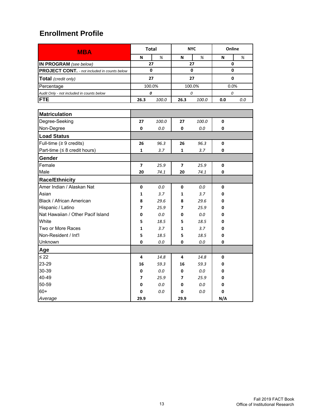| <b>MBA</b>                                          |                          | <b>Total</b> |                          | <b>NYC</b> | Online |      |  |
|-----------------------------------------------------|--------------------------|--------------|--------------------------|------------|--------|------|--|
|                                                     | N                        | $\%$         | N                        | %          | N      | %    |  |
| IN PROGRAM (see below)                              |                          | 27           |                          | 27         |        | 0    |  |
| <b>PROJECT CONT.</b> - not included in counts below |                          | 0            |                          | 0          |        | 0    |  |
| Total (credit only)                                 |                          | 27           |                          | 27         |        | 0    |  |
| Percentage                                          |                          | 100.0%       |                          | 100.0%     |        | 0.0% |  |
| Audit Only - not included in counts below           |                          | 0            |                          | 0          | 0      |      |  |
| <b>FTE</b>                                          | 26.3                     | 100.0        | 26.3                     | 100.0      | 0.0    | 0.0  |  |
|                                                     |                          |              |                          |            |        |      |  |
| <b>Matriculation</b>                                |                          |              |                          |            |        |      |  |
| Degree-Seeking                                      | 27                       | 100.0        | 27                       | 100.0      | 0      |      |  |
| Non-Degree                                          | 0                        | 0.0          | 0                        | 0.0        | 0      |      |  |
| <b>Load Status</b>                                  |                          |              |                          |            |        |      |  |
| Full-time ( $\geq 9$ credits)                       | 26                       | 96.3         | 26                       | 96.3       | 0      |      |  |
| Part-time ( $\leq 8$ credit hours)                  | $\mathbf{1}$             | 3.7          | 1                        | 3.7        | 0      |      |  |
| Gender                                              |                          |              |                          |            |        |      |  |
| Female                                              | 7                        | 25.9         | $\overline{\phantom{a}}$ | 25.9       | 0      |      |  |
| Male                                                | 20                       | 74.1         | 20                       | 74.1       | 0      |      |  |
| <b>Race/Ethnicity</b>                               |                          |              |                          |            |        |      |  |
| Amer Indian / Alaskan Nat                           | 0                        | 0.0          | 0                        | 0.0        | 0      |      |  |
| Asian                                               | 1                        | 3.7          | 1                        | 3.7        | 0      |      |  |
| Black / African American                            | 8                        | 29.6         | 8                        | 29.6       | 0      |      |  |
| Hispanic / Latino                                   | 7                        | 25.9         | 7                        | 25.9       | 0      |      |  |
| Nat Hawaiian / Other Pacif Island                   | 0                        | 0.0          | 0                        | 0.0        | 0      |      |  |
| White                                               | 5                        | 18.5         | 5                        | 18.5       | 0      |      |  |
| Two or More Races                                   | 1                        | 3.7          | 1                        | 3.7        | 0      |      |  |
| Non-Resident / Int'l                                | 5                        | 18.5         | 5                        | 18.5       | 0      |      |  |
| Unknown                                             | 0                        | 0.0          | 0                        | 0.0        | 0      |      |  |
| Age                                                 |                          |              |                          |            |        |      |  |
| $\leq 22$                                           | 4                        | 14.8         | 4                        | 14.8       | 0      |      |  |
| 23-29                                               | 16                       | 59.3         | 16                       | 59.3       | 0      |      |  |
| 30-39                                               | 0                        | 0.0          | 0                        | 0.0        | 0      |      |  |
| 40-49                                               | $\overline{\phantom{a}}$ | 25.9         | 7                        | 25.9       | 0      |      |  |
| 50-59                                               | 0                        | 0.0          | 0                        | $0.0\,$    | 0      |      |  |
| $60+$                                               | 0                        | 0.0          | 0                        | 0.0        | 0      |      |  |
| Average                                             | 29.9                     |              | 29.9                     |            | N/A    |      |  |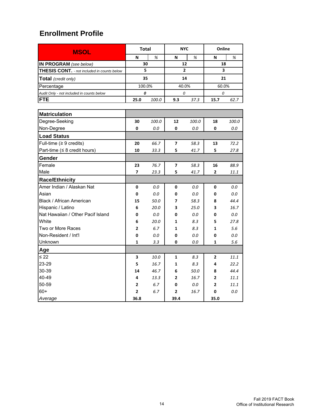| <b>MSOL</b>                                        | <b>Total</b>   |       | <b>NYC</b>     |       | Online         |       |  |
|----------------------------------------------------|----------------|-------|----------------|-------|----------------|-------|--|
|                                                    | N              | %     | N              | %     | N              | %     |  |
| IN PROGRAM (see below)                             | 30             |       | 12             |       | 18             |       |  |
| <b>THESIS CONT.</b> - not included in counts below | 5              |       | $\overline{2}$ |       | 3              |       |  |
| Total (credit only)                                | 35             |       | 14             |       | 21             |       |  |
| Percentage                                         | 100.0%         |       | 40.0%          |       | 60.0%          |       |  |
| Audit Only - not included in counts below          | 0              |       | 0              |       | 0              |       |  |
| <b>FTE</b>                                         | 25.0           | 100.0 | 9.3            | 37.3  | 15.7           | 62.7  |  |
|                                                    |                |       |                |       |                |       |  |
| <b>Matriculation</b>                               |                |       |                |       |                |       |  |
| Degree-Seeking                                     | 30             | 100.0 | 12             | 100.0 | 18             | 100.0 |  |
| Non-Degree                                         | 0              | 0.0   | 0              | 0.0   | 0              | 0.0   |  |
| <b>Load Status</b>                                 |                |       |                |       |                |       |  |
| Full-time $(≥ 9$ credits)                          | 20             | 66.7  | 7              | 58.3  | 13             | 72.2  |  |
| Part-time ( $\leq 8$ credit hours)                 | 10             | 33.3  | 5              | 41.7  | 5              | 27.8  |  |
| Gender                                             |                |       |                |       |                |       |  |
| Female                                             | 23             | 76.7  | 7              | 58.3  | 16             | 88.9  |  |
| Male                                               | 7              | 23.3  | 5              | 41.7  | 2              | 11.1  |  |
| <b>Race/Ethnicity</b>                              |                |       |                |       |                |       |  |
| Amer Indian / Alaskan Nat                          | 0              | 0.0   | 0              | 0.0   | 0              | 0.0   |  |
| Asian                                              | 0              | 0.0   | 0              | 0.0   | 0              | 0.0   |  |
| Black / African American                           | 15             | 50.0  | 7              | 58.3  | 8              | 44.4  |  |
| Hispanic / Latino                                  | 6              | 20.0  | 3              | 25.0  | 3              | 16.7  |  |
| Nat Hawaiian / Other Pacif Island                  | 0              | 0.0   | 0              | 0.0   | 0              | 0.0   |  |
| White                                              | 6              | 20.0  | 1              | 8.3   | 5              | 27.8  |  |
| Two or More Races                                  | 2              | 6.7   | 1              | 8.3   | 1              | 5.6   |  |
| Non-Resident / Int'l                               | 0              | 0.0   | 0              | 0.0   | 0              | 0.0   |  |
| Unknown                                            | 1              | 3.3   | 0              | 0.0   | 1              | 5.6   |  |
| Age                                                |                |       |                |       |                |       |  |
| $\leq 22$                                          | 3              | 10.0  | 1              | 8.3   | $\overline{2}$ | 11.1  |  |
| 23-29                                              | 5              | 16.7  | 1              | 8.3   | 4              | 22.2  |  |
| 30-39                                              | 14             | 46.7  | 6              | 50.0  | 8              | 44.4  |  |
| 40-49                                              | 4              | 13.3  | 2              | 16.7  | 2              | 11.1  |  |
| 50-59                                              | 2              | 6.7   | 0              | 0.0   | 2              | 11.1  |  |
| $60+$                                              | $\overline{2}$ | 6.7   | 2              | 16.7  | 0              | 0.0   |  |
| Average                                            | 36.8           |       | 39.4           |       | 35.0           |       |  |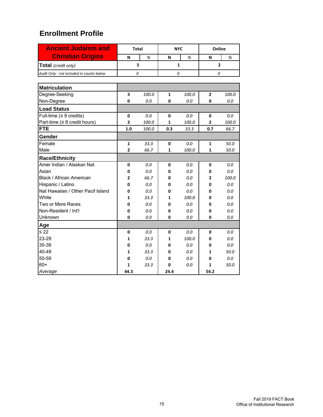| <b>Ancient Judaism and</b>                | <b>Total</b>   |              |      | <b>NYC</b>   | Online         |       |  |  |
|-------------------------------------------|----------------|--------------|------|--------------|----------------|-------|--|--|
| <b>Christian Origins</b>                  | N              | %            | N    | %            | N              | %     |  |  |
| Total (credit only)                       |                | 3            |      | $\mathbf{1}$ | $\overline{2}$ |       |  |  |
| Audit Only - not included in counts below | 0              |              | 0    |              | 0              |       |  |  |
| <b>Matriculation</b>                      |                |              |      |              |                |       |  |  |
| Degree-Seeking                            | 3              | 100.0        | 1    | 100.0        | $\mathbf{2}$   | 100.0 |  |  |
| Non-Degree                                | 0              | 0.0          | 0    | 0.0          | 0              | 0.0   |  |  |
| <b>Load Status</b>                        |                |              |      |              |                |       |  |  |
| Full-time ( $\geq 9$ credits)             | 0              | 0.0          | 0    | 0.0          | 0              | 0.0   |  |  |
| Part-time ( $\leq$ 8 credit hours)        | 3              | <i>100.0</i> | 1    | 100.0        | $\overline{2}$ | 100.0 |  |  |
| <b>FTE</b>                                | 1.0            | 100.0        | 0.3  | 33.3         | 0.7            | 66.7  |  |  |
| Gender                                    |                |              |      |              |                |       |  |  |
| Female                                    | $\mathbf{1}$   | 33.3         | 0    | 0.0          | 1              | 50.0  |  |  |
| Male                                      | $\overline{2}$ | 66.7         | 1    | 100.0        | 1              | 50.0  |  |  |
| <b>Race/Ethnicity</b>                     |                |              |      |              |                |       |  |  |
| Amer Indian / Alaskan Nat                 | 0              | 0.0          | 0    | 0.0          | 0              | 0.0   |  |  |
| Asian                                     | 0              | 0.0          | 0    | 0.0          | 0              | 0.0   |  |  |
| Black / African American                  | $\overline{2}$ | 66.7         | 0    | 0.0          | $\overline{2}$ | 100.0 |  |  |
| Hispanic / Latino                         | 0              | 0.0          | 0    | 0.0          | 0              | 0.0   |  |  |
| Nat Hawaiian / Other Pacif Island         | 0              | 0.0          | 0    | 0.0          | 0              | 0.0   |  |  |
| White                                     | $\mathbf{1}$   | 33.3         | 1    | 100.0        | 0              | 0.0   |  |  |
| Two or More Races                         | 0              | 0.0          | 0    | 0.0          | 0              | 0.0   |  |  |
| Non-Resident / Int'l                      | 0              | 0.0          | 0    | 0.0          | 0              | 0.0   |  |  |
| Unknown                                   | 0              | 0.0          | 0    | 0.0          | 0              | 0.0   |  |  |
| Age                                       |                |              |      |              |                |       |  |  |
| $\leq 22$                                 | 0              | 0.0          | 0    | 0.0          | 0              | 0.0   |  |  |
| 23-29                                     | 1              | 33.3         | 1    | 100.0        | 0              | 0.0   |  |  |
| 30-39                                     | 0              | 0.0          | 0    | 0.0          | 0              | 0.0   |  |  |
| 40-49                                     | 1              | 33.3         | 0    | 0.0          | 1              | 50.0  |  |  |
| 50-59                                     | 0              | 0.0          | 0    | 0.0          | 0              | 0.0   |  |  |
| $60+$                                     | 1              | 33.3         | 0    | 0.0          | 1              | 50.0  |  |  |
| Average                                   | 44.3           |              | 24.4 |              | 54.2           |       |  |  |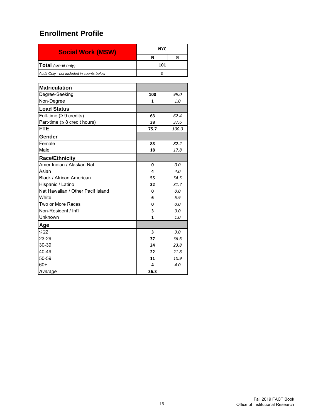| <b>Social Work (MSW)</b>                  | <b>NYC</b>   |       |
|-------------------------------------------|--------------|-------|
|                                           | N            | %     |
| Total (credit only)                       | 101          |       |
| Audit Only - not included in counts below | 0            |       |
|                                           |              |       |
| <b>Matriculation</b>                      |              |       |
| Degree-Seeking                            | 100          | 99.0  |
| Non-Degree                                | $\mathbf{1}$ | 1.0   |
| <b>Load Status</b>                        |              |       |
| Full-time ( $\geq 9$ credits)             | 63           | 62.4  |
| Part-time ( $\leq 8$ credit hours)        | 38           | 37.6  |
| <b>FTE</b>                                | 75.7         | 100.0 |
| Gender                                    |              |       |
| Female                                    | 83           | 82.2  |
| Male                                      | 18           | 17.8  |
| <b>Race/Ethnicity</b>                     |              |       |
| Amer Indian / Alaskan Nat                 | $\Omega$     | 0.0   |
| Asian                                     | 4            | 4.0   |
| Black / African American                  | 55           | 54.5  |
| Hispanic / Latino                         | 32           | 31.7  |
| Nat Hawaiian / Other Pacif Island         | 0            | 0.0   |
| White                                     | 6            | 5.9   |
| Two or More Races                         | 0            | 0.0   |
| Non-Resident / Int'l                      | 3            | 3.0   |
| Unknown                                   | 1            | 1.0   |
| Age                                       |              |       |
| ≤ 22                                      | 3            | 3.0   |
| 23-29                                     | 37           | 36.6  |
| 30-39                                     | 24           | 23.8  |
| 40-49                                     | 22           | 21.8  |
| 50-59                                     | 11           | 10.9  |
| $60+$                                     | 4            | 4.0   |
| Average                                   | 36.3         |       |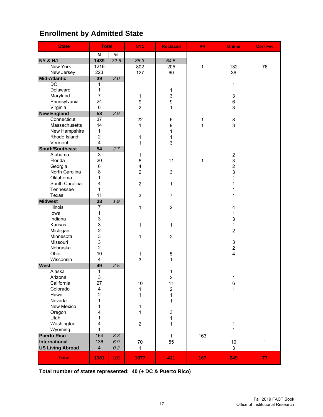# **Enrollment by Admitted State**

| <b>State</b>            | <b>Total</b>                  |      | <b>NYC</b>              | <b>Rockland</b>           | <b>PR</b> | <b>Online</b>       | <b>Corr Fac</b> |
|-------------------------|-------------------------------|------|-------------------------|---------------------------|-----------|---------------------|-----------------|
|                         | $\boldsymbol{\mathsf{N}}$     | $\%$ |                         |                           |           |                     |                 |
| NY & NJ                 | 1439                          | 72.6 | 86.3                    | 64.5                      |           |                     |                 |
| New York                | 1216                          |      | 802                     | 205                       | 1         | 132                 | 76              |
| New Jersey              | 223                           |      | 127                     | 60                        |           | 36                  |                 |
| <b>Mid-Atlantic</b>     | 39                            | 2.0  |                         |                           |           |                     |                 |
| $\overline{DC}$         | $\mathbf{1}$                  |      |                         |                           |           | 1                   |                 |
| Delaware                | 1                             |      |                         | $\mathbf 1$               |           |                     |                 |
| Maryland                | $\overline{7}$                |      | 1                       | 3                         |           | 3                   |                 |
| Pennsylvania            | 24                            |      | 9                       | $\boldsymbol{9}$          |           | 6                   |                 |
| Virginia                | 6                             |      | $\overline{2}$          | $\mathbf{1}$              |           | 3                   |                 |
| <b>New England</b>      | 58                            | 2.9  |                         |                           |           |                     |                 |
| Connecticut             | 37                            |      | 22                      | 6                         | 1         | 8                   |                 |
| Massachusetts           | 14                            |      | 1                       | $\boldsymbol{9}$          | 1         | 3                   |                 |
| New Hampshire           | $\mathbf 1$<br>$\overline{c}$ |      |                         | $\mathbf{1}$              |           |                     |                 |
| Rhode Island<br>Vermont | $\overline{\mathbf{4}}$       |      | 1                       | 1<br>3                    |           |                     |                 |
| South/Southeast         | 54                            | 2.7  | 1                       |                           |           |                     |                 |
| Alabama                 | $\overline{3}$                |      |                         |                           |           |                     |                 |
| Florida                 | 20                            |      | 1<br>5                  | 11                        | 1         | $\overline{c}$<br>3 |                 |
| Georgia                 | 6                             |      | $\overline{\mathbf{4}}$ |                           |           | $\overline{c}$      |                 |
| North Carolina          | 8                             |      | $\overline{2}$          | 3                         |           | 3                   |                 |
| Oklahoma                | 1                             |      |                         |                           |           | 1                   |                 |
| South Carolina          | 4                             |      | $\overline{2}$          | 1                         |           | 1                   |                 |
| Tennessee               | 1                             |      |                         |                           |           | $\mathbf{1}$        |                 |
| Texas                   | 11                            |      | 3                       | $\overline{7}$            |           | 1                   |                 |
| <b>Midwest</b>          | 38                            | 1.9  |                         |                           |           |                     |                 |
| Illinois                | $\overline{7}$                |      | 1                       | $\overline{2}$            |           | 4                   |                 |
| lowa                    | 1                             |      |                         |                           |           | 1                   |                 |
| Indiana                 | 3                             |      |                         |                           |           | 3                   |                 |
| Kansas                  | $\mathbf{3}$                  |      | $\mathbf{1}$            | 1                         |           | 1                   |                 |
| Michigan                | $\overline{c}$                |      |                         |                           |           | $\overline{2}$      |                 |
| Minnesota               | 3                             |      | $\mathbf{1}$            | $\overline{2}$            |           |                     |                 |
| Missouri                | 3                             |      |                         |                           |           | 3                   |                 |
| Nebraska                | $\overline{c}$                |      |                         |                           |           | $\overline{c}$      |                 |
| Ohio                    | 10                            |      | 1                       | 5                         |           | 4                   |                 |
| Wisconsin               | 4                             |      | 3                       | 1                         |           |                     |                 |
| <b>West</b>             | 49                            | 2.5  |                         |                           |           |                     |                 |
| Alaska                  | 1                             |      |                         | 1                         |           |                     |                 |
| Arizona                 | 3                             |      |                         | $\boldsymbol{2}$          |           | 1                   |                 |
| California              | 27                            |      | $10$                    | 11                        |           | 6                   |                 |
| Colorado                | 4                             |      | 1                       | $\boldsymbol{2}$          |           | 1                   |                 |
| Hawaii                  | $\overline{c}$                |      | $\mathbf{1}$            | $\mathbf 1$               |           |                     |                 |
| Nevada                  | 1                             |      |                         | $\mathbf{1}$              |           |                     |                 |
| New Mexico              | $\mathbf{1}$                  |      | $\mathbf 1$             |                           |           |                     |                 |
| Oregon                  | $\overline{\mathbf{4}}$       |      | $\mathbf{1}$            | $\ensuremath{\mathsf{3}}$ |           |                     |                 |
| Utah                    | $\mathbf{1}$                  |      |                         | $\mathbf 1$               |           |                     |                 |
| Washington              | 4                             |      | $\overline{2}$          | $\mathbf 1$               |           | 1                   |                 |
| Wyoming                 | 1                             |      |                         |                           |           | 1                   |                 |
| <b>Puerto Rico</b>      | 164                           | 8.3  |                         | $\mathbf{1}$              | 163       |                     |                 |
| International           | 136                           | 6.9  | 70                      | 55                        |           | $10$                | $\mathbf{1}$    |
| <b>US Living Abroad</b> | $\overline{\mathbf{4}}$       | 0.2  | $\mathbf{1}$            |                           |           | 3                   |                 |
| <b>Total</b>            | 1981                          | 100  | 1077                    | 411                       | 167       | 249                 | 77              |

**Total number of states represented: 40 (+ DC & Puerto Rico)**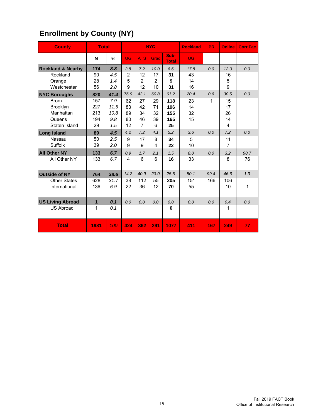| <b>Enrollment by County (NY)</b> |  |  |
|----------------------------------|--|--|
|----------------------------------|--|--|

| <b>County</b>                | <b>Total</b> |      |                |                | <b>NYC</b>              |                      | <b>Rockland</b> | <b>PR</b> | <b>Online</b> | <b>Corr Fac</b> |
|------------------------------|--------------|------|----------------|----------------|-------------------------|----------------------|-----------------|-----------|---------------|-----------------|
|                              | N            | %    | <b>UG</b>      | <b>ATS</b>     | Grad                    | Sub-<br><b>Total</b> | <b>UG</b>       |           |               |                 |
| <b>Rockland &amp; Nearby</b> | 174          | 8.8  | 3.8            | 7.2            | 10.0                    | 6.6                  | 17.8            | 0.0       | 12.0          | 0.0             |
| Rockland                     | 90           | 4.5  | $\overline{2}$ | 12             | 17                      | 31                   | 43              |           | 16            |                 |
| Orange                       | 28           | 1.4  | 5              | $\overline{2}$ | $\overline{2}$          | 9                    | 14              |           | 5             |                 |
| Westchester                  | 56           | 2.8  | 9              | 12             | 10                      | 31                   | 16              |           | 9             |                 |
| <b>NYC Boroughs</b>          | 820          | 41.4 | 76.9           | 43.1           | 60.8                    | 61.2                 | 20.4            | 0.6       | 30.5          | 0.0             |
| <b>Bronx</b>                 | 157          | 7.9  | 62             | 27             | 29                      | 118                  | 23              | 1         | 15            |                 |
| Brooklyn                     | 227          | 11.5 | 83             | 42             | 71                      | 196                  | 14              |           | 17            |                 |
| Manhattan                    | 213          | 10.8 | 89             | 34             | 32                      | 155                  | 32              |           | 26            |                 |
| Queens                       | 194          | 9.8  | 80             | 46             | 39                      | 165                  | 15              |           | 14            |                 |
| Staten Island                | 29           | 1.5  | 12             | $\overline{7}$ | 6                       | 25                   |                 |           | 4             |                 |
| <b>Long Island</b>           | 89           | 4.5  | 4.2            | 7.2            | 4.1                     | 5.2                  | 3.6             | 0.0       | 7.2           | 0.0             |
| Nassau                       | 50           | 2.5  | 9              | 17             | 8                       | 34                   | 5               |           | 11            |                 |
| Suffolk                      | 39           | 2.0  | 9              | 9              | $\overline{\mathbf{4}}$ | 22                   | 10              |           | 7             |                 |
| <b>All Other NY</b>          | 133          | 6.7  | 0.9            | 1.7            | 2.1                     | 1.5                  | 8.0             | 0.0       | 3.2           | 98.7            |
| All Other NY                 | 133          | 6.7  | 4              | 6              | 6                       | 16                   | 33              |           | 8             | 76              |
|                              |              |      |                |                |                         |                      |                 |           |               |                 |
| <b>Outside of NY</b>         | 764          | 38.6 | 14.2           | 40.9           | 23.0                    | 25.5                 | 50.1            | 99.4      | 46.6          | 1.3             |
| <b>Other States</b>          | 628          | 31.7 | 38             | 112            | 55                      | 205                  | 151             | 166       | 106           |                 |
| International                | 136          | 6.9  | 22             | 36             | 12                      | 70                   | 55              |           | 10            | 1               |
|                              |              |      |                |                |                         |                      |                 |           |               |                 |
| <b>US Living Abroad</b>      | $\mathbf{1}$ | 0.1  | 0.0            | 0.0            | 0.0                     | 0.0                  | 0.0             | 0.0       | 0.4           | 0.0             |
| <b>US Abroad</b>             | 1            | 0.1  |                |                |                         | $\mathbf{0}$         |                 |           | 1             |                 |
|                              |              |      |                |                |                         |                      |                 |           |               |                 |
| <b>Total</b>                 | 1981         | 100  | 424            | 362            | 291                     | 1077                 | 411             | 167       | 249           | 77              |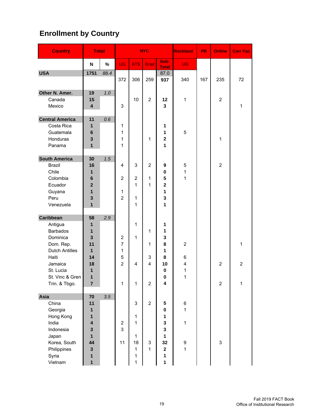# **Enrollment by Country**

| <b>Country</b>                                                                                                                                                        | <b>Total</b>                                                                       |      |                                                      |                                                                                                | <b>NYC</b>                          |                                                                      | <b>Rockland</b>                                       | <b>PR</b> | <b>Online</b>                    | <b>Corr Fac</b>          |
|-----------------------------------------------------------------------------------------------------------------------------------------------------------------------|------------------------------------------------------------------------------------|------|------------------------------------------------------|------------------------------------------------------------------------------------------------|-------------------------------------|----------------------------------------------------------------------|-------------------------------------------------------|-----------|----------------------------------|--------------------------|
|                                                                                                                                                                       | N                                                                                  | %    | <b>UG</b>                                            | <b>ATS</b>                                                                                     | Grad                                | Sub-<br><b>Total</b>                                                 | <b>UG</b>                                             |           |                                  |                          |
| <b>USA</b>                                                                                                                                                            | 1751                                                                               | 88.4 | 372                                                  | 306                                                                                            | 259                                 | 87.0<br>937                                                          | 340                                                   | 167       | 235                              | 72                       |
| Other N. Amer.<br>Canada<br>Mexico                                                                                                                                    | 19<br>15<br>$\overline{\mathbf{4}}$                                                | 1.0  | 3                                                    | 10                                                                                             | $\overline{2}$                      | 12<br>3                                                              | $\mathbf{1}$                                          |           | $\overline{2}$                   | 1                        |
| <b>Central America</b><br>Costa Rica<br>Guatemala<br>Honduras<br>Panama                                                                                               | 11<br>1<br>$6\phantom{1}$<br>3<br>$\mathbf{1}$                                     | 0.6  | 1<br>1<br>1<br>1                                     |                                                                                                | 1                                   | 1<br>1<br>$\overline{\mathbf{2}}$<br>1                               | 5                                                     |           | 1                                |                          |
| <b>South America</b><br><b>Brazil</b><br>Chile<br>Colombia<br>Ecuador<br>Guyana<br>Peru<br>Venezuela                                                                  | 30<br>16<br>1<br>6<br>$\overline{\mathbf{2}}$<br>$\mathbf{1}$<br>3<br>$\mathbf{1}$ | 1.5  | 4<br>$\overline{2}$<br>1<br>$\overline{2}$           | 3<br>$\mathbf 2$<br>1<br>1<br>1                                                                | $\overline{2}$<br>1<br>1            | 9<br>0<br>5<br>$\mathbf{2}$<br>1<br>3<br>1                           | 5<br>1<br>$\mathbf{1}$                                |           | $\overline{2}$                   |                          |
| <b>Caribbean</b><br>Antigua<br><b>Barbados</b><br>Dominica<br>Dom. Rep.<br><b>Dutch Antilles</b><br>Haiti<br>Jamaica<br>St. Lucia<br>St. Vinc & Gren<br>Trin. & Tbgo. | 58<br>1<br>1<br>3<br>11<br>1<br>14<br>18<br>1<br>1<br>$\overline{7}$               | 2.9  | 2<br>$\overline{7}$<br>1<br>5<br>$\overline{2}$<br>1 | 1<br>1<br>$\overline{4}$<br>1                                                                  | 1<br>1<br>3<br>4<br>$\overline{2}$  | 1<br>1<br>3<br>8<br>1<br>8<br>10<br>$\pmb{0}$<br>$\bf{0}$<br>4       | $\overline{2}$<br>6<br>4<br>1<br>1                    |           | $\overline{2}$<br>$\overline{2}$ | 1<br>$\overline{2}$<br>1 |
| Asia<br>China<br>Georgia<br>Hong Kong<br>India<br>Indonesia<br>Japan<br>Korea, South<br>Philippines<br>Syria<br>Vietnam                                               | 70<br>11<br>1<br>1<br>4<br>3<br>$\mathbf{1}$<br>44<br>3<br>1<br>1                  | 3.5  | $\mathbf 2$<br>3<br>11                               | $\ensuremath{\mathsf{3}}$<br>1<br>$\mathbf{1}$<br>$\mathbf{1}$<br>18<br>$\mathbf{1}$<br>1<br>1 | $\overline{2}$<br>3<br>$\mathbf{1}$ | 5<br>0<br>1<br>3<br>3<br>1<br>32<br>$\mathbf 2$<br>1<br>$\mathbf{1}$ | 6<br>$\mathbf{1}$<br>$\mathbf 1$<br>9<br>$\mathbf{1}$ |           | 3                                |                          |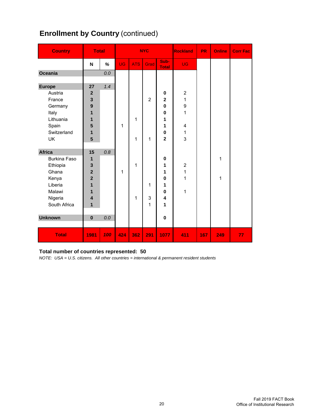# **Enrollment by Country (continued)**

| <b>Country</b>      | <b>Total</b>            |     |           |            | <b>NYC</b>     |                      | Rockland                       | <b>PR</b> | <b>Online</b> | <b>Corr Fac</b> |
|---------------------|-------------------------|-----|-----------|------------|----------------|----------------------|--------------------------------|-----------|---------------|-----------------|
|                     | N                       | %   | <b>UG</b> | <b>ATS</b> | Grad           | Sub-<br><b>Total</b> | <b>UG</b>                      |           |               |                 |
| Oceania             |                         | 0.0 |           |            |                |                      |                                |           |               |                 |
| <b>Europe</b>       | 27                      | 1.4 |           |            |                |                      |                                |           |               |                 |
| Austria             | $\overline{2}$          |     |           |            |                | 0                    | $\overline{2}$                 |           |               |                 |
| France              | $\overline{\mathbf{3}}$ |     |           |            | $\overline{2}$ | $\mathbf 2$          | 1                              |           |               |                 |
| Germany             | 9                       |     |           |            |                | $\bf{0}$             | 9                              |           |               |                 |
| Italy               | 1                       |     |           |            |                | $\bf{0}$             | 1                              |           |               |                 |
| Lithuania           | 1                       |     |           | 1          |                | 1                    |                                |           |               |                 |
| Spain               | 5                       |     | 1         |            |                | 1                    | 4                              |           |               |                 |
| Switzerland         | $\mathbf{1}$            |     |           |            |                | 0                    | 1                              |           |               |                 |
| <b>UK</b>           | 5                       |     |           | 1          | 1              | $\overline{2}$       | 3                              |           |               |                 |
|                     |                         |     |           |            |                |                      |                                |           |               |                 |
| <b>Africa</b>       | 15                      | 0.8 |           |            |                |                      |                                |           |               |                 |
| <b>Burkina Faso</b> | 1                       |     |           |            |                | $\bf{0}$             |                                |           | 1             |                 |
| Ethiopia<br>Ghana   | 3<br>$\overline{2}$     |     | 1         | 1          |                | 1<br>1               | $\overline{2}$<br>$\mathbf{1}$ |           |               |                 |
| Kenya               | $\overline{2}$          |     |           |            |                | $\bf{0}$             | 1                              |           | 1             |                 |
| Liberia             | 1                       |     |           |            | 1              | 1                    |                                |           |               |                 |
| Malawi              | 1                       |     |           |            |                | $\bf{0}$             | 1                              |           |               |                 |
| Nigeria             | $\overline{\mathbf{4}}$ |     |           | 1          | 3              | 4                    |                                |           |               |                 |
| South Africa        | 1                       |     |           |            | 1              | 1                    |                                |           |               |                 |
|                     |                         |     |           |            |                |                      |                                |           |               |                 |
| <b>Unknown</b>      | $\bf{0}$                | 0.0 |           |            |                | $\pmb{0}$            |                                |           |               |                 |
|                     |                         |     |           |            |                |                      |                                |           |               |                 |
| <b>Total</b>        | 1981                    | 100 | 424       | 362        | 291            | 1077                 | 411                            | 167       | 249           | 77              |

#### **Total number of countries represented: 50**

*NOTE: USA = U.S. citizens. All other countries = international & permanent resident students*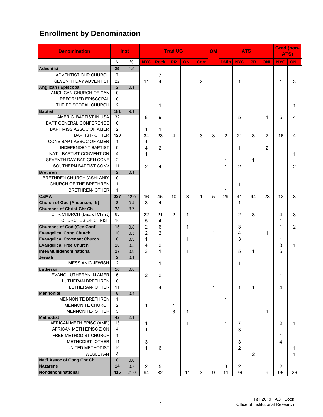# **Enrollment by Denomination**

| <b>Denomination</b>                |                | <b>Inst</b> |                |                | <b>Trad UG</b> |            |                | OM | <b>ATS</b>     |                |           |     | <b>Grad (non-</b><br>ATS) |     |
|------------------------------------|----------------|-------------|----------------|----------------|----------------|------------|----------------|----|----------------|----------------|-----------|-----|---------------------------|-----|
|                                    | N              | $\%$        | <b>NYC</b>     | <b>Rock</b>    | PR             | <b>ONL</b> | Corr           |    | <b>DMin</b>    | <b>NYC</b>     | <b>PR</b> | ONL | <b>NYC</b>                | ONL |
| <b>Adventist</b>                   | 29             | 1.5         |                |                |                |            |                |    |                |                |           |     |                           |     |
| ADVENTIST CHR CHURCH               | 7              |             |                | 7              |                |            |                |    |                |                |           |     |                           |     |
| SEVENTH DAY ADVENTIST              | 22             |             | 11             | 4              |                |            | $\overline{2}$ |    |                | 1              |           |     | 1                         | 3   |
| <b>Anglican / Episcopal</b>        | $\overline{2}$ | 0.1         |                |                |                |            |                |    |                |                |           |     |                           |     |
| ANGLICAN CHURCH OF CAN             | $\Omega$       |             |                |                |                |            |                |    |                |                |           |     |                           |     |
| <b>REFORMED EPISCOPAL</b>          | $\Omega$       |             |                |                |                |            |                |    |                |                |           |     |                           |     |
| THE EPISCOPAL CHURCH               | $\overline{2}$ |             |                | 1              |                |            |                |    |                |                |           |     |                           | 1   |
| <b>Baptist</b>                     | 181            | 9.1         |                |                |                |            |                |    |                |                |           |     |                           |     |
| AMERIC. BAPTIST IN USA             | 32             |             | 8              | 9              |                |            |                |    |                | 5              |           | 1   | 5                         | 4   |
| BAPT GENERAL CONFERENCE            | $\Omega$       |             |                |                |                |            |                |    |                |                |           |     |                           |     |
| <b>BAPT MISS ASSOC OF AMER</b>     | $\overline{2}$ |             | 1              | 1              |                |            |                |    |                |                |           |     |                           |     |
| <b>BAPTIST- OTHER</b>              | 120            |             | 34             | 23             | 4              |            | 3              | 3  | $\overline{2}$ | 21             | 8         | 2   | 16                        | 4   |
| CONS BAPT ASSOC OF AMER            | 1              |             | 1              |                |                |            |                |    |                |                |           |     |                           |     |
| <b>INDEPENDENT BAPTIST</b>         | 9              |             | 4              | $\overline{2}$ |                |            |                |    |                | 1              |           | 2   |                           |     |
| NAT'L BAPTIST CONVENTION           | 4              |             | 1              |                |                |            |                |    | 1              |                |           |     | 1                         | 1   |
| SEVENTH DAY BAP GEN CONF           | $\overline{2}$ |             |                |                |                |            |                |    | 1              |                | 1         |     |                           |     |
| SOUTHERN BAPTIST CONV              | 11             |             | $\overline{2}$ | 4              |                |            |                |    | 1              | $\overline{2}$ |           |     |                           | 2   |
| <b>Brethren</b>                    | $\overline{2}$ | 0.1         |                |                |                |            |                |    |                |                |           |     |                           |     |
| <b>BRETHREN CHURCH (ASHLAND)</b>   | $\Omega$       |             |                |                |                |            |                |    |                |                |           |     |                           |     |
| CHURCH OF THE BRETHREN             | $\mathbf{1}$   |             |                |                |                |            |                |    |                | 1              |           |     |                           |     |
| <b>BRETHREN- OTHER</b>             | 1              |             |                |                |                |            |                |    | 1              |                |           |     |                           |     |
| <b>C&amp;MA</b>                    | 237            | 12.0        | 16             | 45             | 10             | 3          | 1              | 5  | 29             | 41             | 44        | 23  | 12                        | 8   |
| Church of God (Anderson, IN)       | 8              | 0.4         | 3              | 4              |                |            |                |    |                | 1              |           |     |                           |     |
| <b>Churches of Christ-Chr Ch</b>   | 73             | 3.7         |                |                |                |            |                |    |                |                |           |     |                           |     |
| CHR CHURCH (Disc of Christ)        | 63             |             | 22             | 21             | 2              | 1          |                |    |                | $\overline{2}$ | 8         |     | 4                         | 3   |
| <b>CHURCHES OF CHRIST</b>          | 10             |             | 5              | 4              |                |            |                |    |                |                |           |     | 1                         |     |
| <b>Churches of God (Gen Conf)</b>  | 15             | 0.8         | $\overline{2}$ | 6              |                | 1          |                |    |                | 3              |           |     | 1                         | 2   |
| <b>Evangelical Cong Church</b>     | 10             | 0.5         | $\overline{2}$ | $\overline{2}$ |                |            |                | 1  |                | 4              |           | 1   |                           |     |
| <b>Evangelical Covenant Church</b> | 6              | 0.3         | 1              |                |                | 1          |                |    |                | 3              |           |     | 1                         |     |
| <b>Evangelical Free Church</b>     | 10             | 0.5         | 4              | $\overline{2}$ |                |            |                |    |                |                |           |     | 3                         | 1   |
| Inter/Multidenominational          | 17             | 0.9         | 3              | $\mathbf{1}$   |                | 1          |                |    |                | 5              | 1         |     | 6                         |     |
| Jewish                             | $\overline{2}$ | 0.1         |                |                |                |            |                |    |                |                |           |     |                           |     |
| <b>MESSIANIC JEWISH</b>            | $\overline{c}$ |             |                | 1              |                |            |                |    |                | 1              |           |     |                           |     |
| Lutheran                           | 16             | 0.8         |                |                |                |            |                |    |                |                |           |     |                           |     |
| EVANG LUTHERAN IN AMER             | 5              |             | $\overline{2}$ | 2              |                |            |                |    |                |                |           |     | 1                         |     |
| LUTHERAN BRETHREN                  | 0              |             |                |                |                |            |                |    |                |                |           |     |                           |     |
| LUTHERAN- OTHER                    | 11             |             |                | 4              |                |            |                | 1  |                | 1              | 1         |     | 4                         |     |
| <b>Mennonite</b>                   | 8              | 0.4         |                |                |                |            |                |    |                |                |           |     |                           |     |
| <b>MENNONITE BRETHREN</b>          | 1              |             |                |                |                |            |                |    | 1              |                |           |     |                           |     |
| MENNONITE CHURCH                   | 2              |             | 1              |                | 1              |            |                |    |                |                |           |     |                           |     |
| <b>MENNONITE- OTHER</b>            | 5              |             |                |                | 3              | 1          |                |    |                |                |           | 1   |                           |     |
| <b>Methodist</b>                   | 42             | 2.1         |                |                |                |            |                |    |                |                |           |     |                           |     |
| AFRICAN METH EPISC (AME)           | 13             |             | 1              |                |                | 1          |                |    | 1              | 7              |           |     | 2                         | 1   |
| AFRICAN METH EPISC ZION            | 4              |             | 1              |                |                |            |                |    |                | 3              |           |     |                           |     |
| FREE METHODIST CHURCH              | 1              |             |                |                |                |            |                |    |                |                |           |     | 1                         |     |
| METHODIST- OTHER                   | 11             |             | 3              |                | $\mathbf{1}$   |            |                |    |                | 3              |           |     | 4                         |     |
| UNITED METHODIST                   | 10             |             | 1              | 6              |                |            |                |    |                | $\overline{2}$ |           |     |                           | 1   |
| <b>WESLEYAN</b>                    | 3              |             |                |                |                |            |                |    |                |                | 2         |     |                           | 1   |
| Nat'l Assoc of Cong Chr Ch         | $\bf{0}$       | 0.0         |                |                |                |            |                |    |                |                |           |     |                           |     |
| <b>Nazarene</b>                    | 14             | 0.7         | $\overline{2}$ | 5              |                |            |                |    | 3              | 2              |           |     | 2                         |     |
| Nondenominational                  | 416            | 21.0        | 94             | 82             |                | 11         | $\sqrt{3}$     | 9  | 11             | 76             |           | 9   | 95                        | 26  |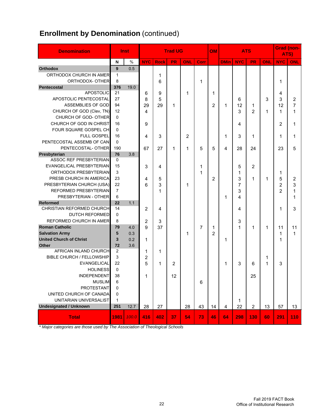# **Enrollment by Denomination (continued)**

| <b>Denomination</b>                                  |                | <b>Inst</b> |            |             | <b>Trad UG</b> |     |      | OM             |             |            | <b>ATS</b>     |            | <b>Grad (non-</b><br>ATS) |                |
|------------------------------------------------------|----------------|-------------|------------|-------------|----------------|-----|------|----------------|-------------|------------|----------------|------------|---------------------------|----------------|
|                                                      | N              | $\%$        | <b>NYC</b> | <b>Rock</b> | <b>PR</b>      | ONL | Corr |                | <b>DMin</b> | <b>NYC</b> | PR             | <b>ONL</b> | <b>NYC</b>                | ONL            |
| <b>Orthodox</b>                                      | 9              | 0.5         |            |             |                |     |      |                |             |            |                |            |                           |                |
| ORTHODOX CHURCH IN AMER                              | 1              |             |            | 1           |                |     |      |                |             |            |                |            |                           |                |
| ORTHODOX- OTHER                                      | 8              |             |            | 6           |                |     | 1    |                |             |            |                |            | 1                         |                |
| Pentecostal                                          | 376            | 19.0        |            |             |                |     |      |                |             |            |                |            |                           |                |
| <b>APOSTOLIC</b>                                     | 21             |             | 6          | 9           |                | 1   |      | 1              |             |            |                |            | 4                         |                |
| APOSTOLIC PENTECOSTAL                                | 27             |             | 8          | 5           |                |     |      |                |             | 6          |                | 3          | 3                         | $\overline{2}$ |
| ASSEMBLIES OF GOD                                    | 94             |             | 29         | 29          | 1              |     |      | 2              | 1           | 12         | 1              |            | 12                        | $\overline{7}$ |
| CHURCH OF GOD (Clev, TN)                             | 12             |             | 4          |             |                |     |      |                |             | 3          | $\overline{2}$ | 1          | 1                         | 1              |
| CHURCH OF GOD- OTHER                                 | $\Omega$       |             |            |             |                |     |      |                |             |            |                |            |                           |                |
| CHURCH OF GOD IN CHRIST                              | 16             |             | 9          |             |                |     |      |                |             | 4          |                |            | 2                         | 1              |
| FOUR SQUARE GOSPEL CH                                | $\Omega$       |             |            |             |                |     |      |                |             |            |                |            |                           |                |
| <b>FULL GOSPEL</b>                                   | 16             |             | 4          | 3           |                | 2   |      |                | 1           | 3          | 1              |            | 1                         | 1              |
| PENTECOSTAL ASSEMB OF CAN                            | 0              |             |            |             |                |     |      |                |             |            |                |            |                           |                |
| PENTECOSTAL- OTHER                                   | 190            |             | 67         | 27          | 1              | 1   | 5    | 5              | 4           | 28         | 24             |            | 23                        | 5              |
| Presbyterian                                         | 76             | 3.8         |            |             |                |     |      |                |             |            |                |            |                           |                |
| ASSOC REF PRESBYTERIAN                               | 0<br>15        |             |            |             |                |     |      |                |             |            |                |            |                           |                |
| EVANGELICAL PRESBYTERIAN                             | 3              |             | 3          | 4           |                |     | 1    |                |             | 5          | 2              |            |                           |                |
| ORTHODOX PRESBYTERIAN                                | 23             |             |            |             |                |     | 1    |                |             | 1          |                |            | 1                         |                |
| PRESB CHURCH IN AMERICA<br>PRESBYTERIAN CHURCH (USA) | 22             |             | 4          | 5           |                |     |      | $\overline{2}$ |             | 3          | 1              | 1          | 5                         | 2              |
| <b>REFORMED PRESBYTERIAN</b>                         | $\overline{7}$ |             | 6          | 3           |                | 1   |      |                |             | 7          |                |            | 2                         | 3              |
| PRESBYTERIAN - OTHER                                 | 6              |             |            | 1           |                |     |      |                |             | 3<br>4     |                |            | $\overline{2}$            | 1<br>1         |
| Reformed                                             | 22             | 1.1         |            |             |                |     |      |                | 1           |            |                |            |                           |                |
| CHRISTIAN REFORMED CHURCH                            | 14             |             | 2          | 4           |                |     |      |                |             | 4          |                |            | 1                         | 3              |
| <b>DUTCH REFORMED</b>                                | 0              |             |            |             |                |     |      |                |             |            |                |            |                           |                |
| REFORMED CHURCH IN AMER                              | 8              |             | 2          | 3           |                |     |      |                |             | 3          |                |            |                           |                |
| <b>Roman Catholic</b>                                | 79             | 4.0         | 9          | 37          |                |     | 7    | 1              |             | 1          | 1              | 1          | 11                        | 11             |
| <b>Salvation Army</b>                                | 5              | 0.3         |            |             |                | 1   |      | $\overline{2}$ |             |            |                |            | 1                         | $\mathbf{1}$   |
| <b>United Church of Christ</b>                       | 3              | 0.2         | 1          |             |                |     |      |                | 1           |            |                |            | 1                         |                |
| <b>Other</b>                                         | 72             | 3.6         |            |             |                |     |      |                |             |            |                |            |                           |                |
| AFRICAN INLAND CHURCH                                | 2              |             | 1          | 1           |                |     |      |                |             |            |                |            |                           |                |
| <b>BIBLE CHURCH / FELLOWSHIP</b>                     | 3              |             | 2          |             |                |     |      |                |             |            |                | 1          |                           |                |
| <b>EVANGELICAL</b>                                   | 22             |             | 5          | 1           | $\overline{2}$ |     |      |                | 1           | 3          | 6              | 1          | 3                         |                |
| <b>HOLINESS</b>                                      | 0              |             |            |             |                |     |      |                |             |            |                |            |                           |                |
| <b>INDEPENDENT</b>                                   | 38             |             | 1          |             | 12             |     |      |                |             |            | 25             |            |                           |                |
| <b>MUSLIM</b>                                        | 6              |             |            |             |                |     | 6    |                |             |            |                |            |                           |                |
| PROTESTANT                                           | 0              |             |            |             |                |     |      |                |             |            |                |            |                           |                |
| UNITED CHURCH OF CANADA                              | 0              |             |            |             |                |     |      |                |             |            |                |            |                           |                |
| UNITARIAN UNIVERSALIST                               | 1              |             |            |             |                |     |      |                |             | 1          |                |            |                           |                |
| <b>Undesignated / Unknown</b>                        | 251            | 12.7        | 28         | 27          |                | 28  | 43   | 14             | 4           | 22         | $\overline{2}$ | 13         | 57                        | 13             |
| <b>Total</b>                                         | 1981           | 100.0       | 416        | 402         | 37             | 54  | 73   | 46             | 64          | 298        | 130            | 60         | 291                       | 110            |

*\* Major categories are those used by The Association of Theological Schools*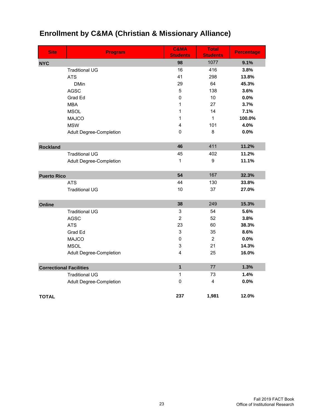| <b>Site</b>                    | <b>Program</b>                 | <b>C&amp;MA</b><br><b>Students</b> | <b>Total</b><br><b>Students</b> | <b>Percentage</b> |
|--------------------------------|--------------------------------|------------------------------------|---------------------------------|-------------------|
| <b>NYC</b>                     |                                | 98                                 | 1077                            | 9.1%              |
|                                | <b>Traditional UG</b>          | 16                                 | 416                             | 3.8%              |
|                                | <b>ATS</b>                     | 41                                 | 298                             | 13.8%             |
|                                | <b>DMin</b>                    | 29                                 | 64                              | 45.3%             |
|                                | <b>AGSC</b>                    | 5                                  | 138                             | 3.6%              |
|                                | Grad Ed                        | $\mathbf 0$                        | 10                              | 0.0%              |
|                                | <b>MBA</b>                     | 1                                  | 27                              | 3.7%              |
|                                | <b>MSOL</b>                    | 1                                  | 14                              | 7.1%              |
|                                | <b>MAJCO</b>                   | 1                                  | 1                               | 100.0%            |
|                                | <b>MSW</b>                     | 4                                  | 101                             | 4.0%              |
|                                | <b>Adult Degree-Completion</b> | 0                                  | 8                               | 0.0%              |
| <b>Rockland</b>                |                                | 46                                 | 411                             | 11.2%             |
|                                | <b>Traditional UG</b>          | 45                                 | 402                             | 11.2%             |
|                                | <b>Adult Degree-Completion</b> | 1                                  | 9                               | 11.1%             |
|                                |                                |                                    |                                 |                   |
| <b>Puerto Rico</b>             |                                | 54                                 | 167                             | 32.3%             |
|                                | <b>ATS</b>                     | 44                                 | 130                             | 33.8%             |
|                                | <b>Traditional UG</b>          | 10                                 | 37                              | 27.0%             |
| Online                         |                                | 38                                 | 249                             | 15.3%             |
|                                | <b>Traditional UG</b>          | $\ensuremath{\mathsf{3}}$          | 54                              | 5.6%              |
|                                | <b>AGSC</b>                    | $\overline{2}$                     | 52                              | 3.8%              |
|                                | <b>ATS</b>                     | 23                                 | 60                              | 38.3%             |
|                                | Grad Ed                        | 3                                  | 35                              | 8.6%              |
|                                | <b>MAJCO</b>                   | $\mathbf 0$                        | $\overline{2}$                  | 0.0%              |
|                                | <b>MSOL</b>                    | 3                                  | 21                              | 14.3%             |
|                                | <b>Adult Degree-Completion</b> | 4                                  | 25                              | 16.0%             |
| <b>Correctional Facilities</b> |                                | $\mathbf{1}$                       | 77                              | 1.3%              |
|                                | <b>Traditional UG</b>          | 1                                  | 73                              | 1.4%              |
|                                | <b>Adult Degree-Completion</b> | $\pmb{0}$                          | 4                               | 0.0%              |
|                                |                                |                                    |                                 |                   |
| <b>TOTAL</b>                   |                                | 237                                | 1,981                           | 12.0%             |

# **Enrollment by C&MA (Christian & Missionary Alliance)**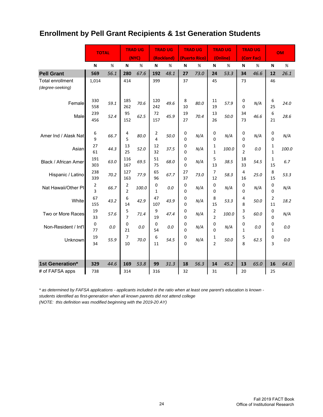# **Enrollment by Pell Grant Recipients & 1st Generation Students**

|                                             | <b>TOTAL</b>    |      |                     | <b>TRAD UG</b> |            | <b>TRAD UG</b> |               | <b>TRAD UG</b> |                                  | <b>TRAD UG</b> |                     | <b>TRAD UG</b> |                  | <b>OM</b> |
|---------------------------------------------|-----------------|------|---------------------|----------------|------------|----------------|---------------|----------------|----------------------------------|----------------|---------------------|----------------|------------------|-----------|
|                                             |                 |      |                     | (NYC)          |            | (Rockland)     |               | (Puerto Rico)  |                                  | (Online)       |                     | (Corr Fac)     |                  |           |
|                                             | N               | %    | N                   | %              | N          | %              | N             | %              | N                                | %              | N                   | %              | N                | $\%$      |
| <b>Pell Grant</b>                           | 569             | 56.1 | 280                 | 67.6           | 192        | 48.1           | 27            | 73.0           | 24                               | 53.3           | 34                  | 46.6           | 12               | 26.1      |
| <b>Total enrollment</b><br>(degree-seeking) | 1,014           |      | 414                 |                | 399        |                | 37            |                | 45                               |                | 73                  |                | 46               |           |
| Female                                      | 330<br>558      | 59.1 | 185<br>262          | 70.6           | 120<br>242 | 49.6           | 8<br>10       | 80.0           | 11<br>19                         | 57.9           | 0<br>$\Omega$       | N/A            | 6<br>25          | 24.0      |
| Male                                        | 239<br>456      | 52.4 | 95<br>152           | 62.5           | 72<br>157  | 45.9           | 19<br>27      | 70.4           | 13<br>26                         | 50.0           | 34<br>73            | 46.6           | 6<br>21          | 28.6      |
| Amer Ind / Alask Nat                        | 6<br>9          | 66.7 | 4<br>5              | 80.0           | 2<br>4     | 50.0           | 0<br>$\Omega$ | N/A            | 0<br>$\Omega$                    | N/A            | 0<br>0              | N/A            | 0<br>0           | N/A       |
| Asian                                       | 27<br>61        | 44.3 | 13<br>25            | 52.0           | 12<br>32   | 37.5           | 0<br>$\Omega$ | N/A            | 1<br>$\mathbf{1}$                | 100.0          | 0<br>$\overline{2}$ | 0.0            | 1<br>$\mathbf 1$ | 100.0     |
| Black / African Amer                        | 191<br>303      | 63.0 | 116<br>167          | 69.5           | 51<br>75   | 68.0           | 0<br>$\Omega$ | N/A            | 5<br>13                          | 38.5           | 18<br>33            | 54.5           | 1<br>15          | 6.7       |
| Hispanic / Latino                           | 238<br>339      | 70.2 | 127<br>163          | 77.9           | 65<br>96   | 67.7           | 27<br>37      | 73.0           | 7<br>12                          | 58.3           | 4<br>16             | 25.0           | 8<br>15          | 53.3      |
| Nat Hawaii/Other PI                         | 2<br>3          | 66.7 | 2<br>$\overline{2}$ | 100.0          | 0<br>1     | 0.0            | 0<br>$\Omega$ | N/A            | 0<br>$\Omega$                    | N/A            | 0<br>0              | N/A            | 0<br>0           | N/A       |
| White                                       | 67<br>155       | 43.2 | 6<br>14             | 42.9           | 47<br>107  | 43.9           | 0<br>$\Omega$ | N/A            | 8<br>15                          | 53.3           | 4<br>8              | 50.0           | 2<br>11          | 18.2      |
| Two or More Races                           | 19<br>33        | 57.6 | 5<br>$\overline{7}$ | 71.4           | 9<br>19    | 47.4           | 0<br>$\Omega$ | N/A            | $\overline{2}$<br>$\overline{2}$ | 100.0          | 3<br>5              | 60.0           | 0<br>0           | N/A       |
| Non-Resident / Int'l                        | $\pmb{0}$<br>77 | 0.0  | 0<br>21             | 0.0            | 0<br>54    | 0.0            | 0<br>$\Omega$ | N/A            | 0<br>$\Omega$                    | N/A            | 0<br>$\mathbf{1}$   | 0.0            | 0<br>1           | 0.0       |
| Unknown                                     | 19<br>34        | 55.9 | 7<br>10             | 70.0           | 6<br>11    | 54.5           | 0<br>$\Omega$ | N/A            | 1<br>$\overline{2}$              | 50.0           | 5<br>8              | 62.5           | 0<br>3           | 0.0       |
| 1st Generation*                             | 329             | 44.6 | 169                 | 53.8           | 99         | 31.3           | 18            | 56.3           | 14                               | 45.2           | 13                  | 65.0           | 16               | 64.0      |
| # of FAFSA apps                             | 738             |      | 314                 |                | 316        |                | 32            |                | 31                               |                | 20                  |                | 25               |           |

*\* as determined by FAFSA applications - applicants included in the ratio when at least one parent's education is known students identified as first-generation when all known parents did not attend college*

*(NOTE: this definition was modified beginning with the 2019-20 AY)*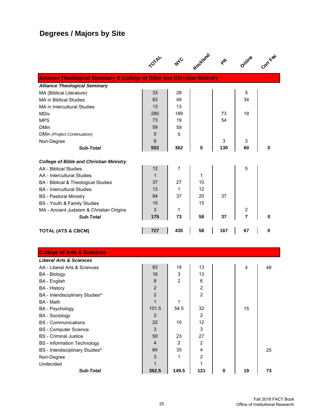# **Degrees / Majors by Site**

|                                                                                    |                           | $A_{\mathcal{A}_{\mathbf{C}}}$ | Rockland                |           | Online         | Corr Fac |
|------------------------------------------------------------------------------------|---------------------------|--------------------------------|-------------------------|-----------|----------------|----------|
| <b>Alliance Theological Seminary &amp; College of Bible and Christian Ministry</b> |                           |                                |                         |           |                |          |
| <b>Alliance Theological Seminary</b>                                               |                           |                                |                         |           |                |          |
| MA (Biblical Literature)                                                           | 33                        | 28                             |                         |           | 5              |          |
| <b>MA in Biblical Studies</b>                                                      | 83                        | 49                             |                         |           | 34             |          |
| MA in Intercultural Studies                                                        | 13                        | 13                             |                         |           |                |          |
| <b>MDiv</b>                                                                        | 280                       | 189                            |                         | 73        | 18             |          |
| <b>MPS</b>                                                                         | 73                        | 19                             |                         | 54        |                |          |
| <b>DMin</b>                                                                        | 59                        | 59                             |                         |           |                |          |
| DMin (Project Continuation)                                                        | 5                         | 5                              |                         |           |                |          |
| Non-Degree                                                                         | 6                         |                                |                         | 3         | 3              |          |
| <b>Sub-Total</b>                                                                   | 552                       | 362                            | 0                       | 130       | 60             | 0        |
| <b>College of Bible and Christian Ministry</b>                                     |                           |                                |                         |           |                |          |
| AA - Biblical Studies                                                              | 12                        | 7                              |                         |           | 5              |          |
| AA - Intercultural Studies                                                         | $\mathbf{1}$              |                                | 1                       |           |                |          |
| BA - Biblical & Theological Studies                                                | 37                        | 27                             | 10                      |           |                |          |
| <b>BA</b> - Intercultural Studies                                                  | 13                        | $\mathbf{1}$                   | 12                      |           |                |          |
| <b>BS</b> - Pastoral Ministry                                                      | 94                        | 37                             | 20                      | 37        |                |          |
| BS - Youth & Family Studies                                                        | 15                        |                                | 15                      |           |                |          |
| MA - Ancient Judaism & Christian Origins                                           | 3                         | 1                              |                         |           | 2              |          |
| <b>Sub-Total</b>                                                                   | 175                       | 73                             | 58                      | 37        | $\overline{7}$ | 0        |
|                                                                                    |                           |                                |                         |           |                |          |
| <b>TOTAL (ATS &amp; CBCM)</b>                                                      | 727                       | 435                            | 58                      | 167       | 67             | $\bf{0}$ |
|                                                                                    |                           |                                |                         |           |                |          |
| <b>College of Arts &amp; Sciences</b>                                              |                           |                                |                         |           |                |          |
| <b>Liberal Arts &amp; Sciences</b>                                                 |                           |                                |                         |           |                |          |
| AA - Liberal Arts & Sciences                                                       | 83                        | 18                             | 13                      |           | 4              | 48       |
| <b>BA</b> - Biology                                                                | 16                        | 3                              | 13                      |           |                |          |
| BA - English                                                                       | $\bf 8$                   | 2                              | 6                       |           |                |          |
| <b>BA</b> - History                                                                | $\overline{c}$            |                                | 2                       |           |                |          |
| BA - Interdisciplinary Studies^                                                    | $\boldsymbol{2}$          |                                | $\overline{\mathbf{c}}$ |           |                |          |
| BA - Math                                                                          | $\mathbf{1}$              | 1                              |                         |           |                |          |
| BA - Psychology                                                                    | 101.5                     | 54.5                           | 32                      |           | 15             |          |
| <b>BA</b> - Sociology                                                              | $\overline{2}$            |                                | $\overline{2}$          |           |                |          |
| <b>BS</b> - Communications                                                         | 22                        | 10                             | 12                      |           |                |          |
| <b>BS</b> - Computer Science                                                       | $\sqrt{3}$                |                                | 3                       |           |                |          |
| <b>BS</b> - Criminal Justice                                                       | 50                        | 23                             | 27                      |           |                |          |
| <b>BS</b> - Information Technology                                                 | $\overline{4}$            | $\overline{2}$                 | $\boldsymbol{2}$        |           |                |          |
| BS - Interdisciplinary Studies^                                                    | 64                        | 35                             | 4                       |           |                | 25       |
| Non-Degree                                                                         | $\ensuremath{\mathsf{3}}$ | 1                              | $\overline{2}$          |           |                |          |
| Undecided                                                                          | 1                         |                                | 1                       |           |                |          |
| Sub-Total                                                                          | 362.5                     | 149.5                          | 121                     | $\pmb{0}$ | 19             | 73       |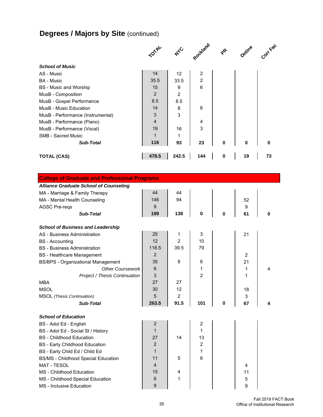# **Degrees / Majors by Site (continued)**

|                                                      |                | $A_C$          | Rockland                | $\mathbf{e}^{\mathbf{e}}$ | Online         | Corr Fac |
|------------------------------------------------------|----------------|----------------|-------------------------|---------------------------|----------------|----------|
| <b>School of Music</b>                               |                |                |                         |                           |                |          |
| AS - Music                                           | 14             | 12             | $\overline{\mathbf{c}}$ |                           |                |          |
| <b>BA</b> - Music                                    | 35.5           | 33.5           | $\mathbf 2$             |                           |                |          |
| <b>BS</b> - Music and Worship                        | 15             | 9              | 6                       |                           |                |          |
| MusB - Composition                                   | $\overline{2}$ | $\overline{2}$ |                         |                           |                |          |
| MusB - Gospel Performance                            | 8.5            | 8.5            |                         |                           |                |          |
| MusB - Music Education                               | 14             | 8              | 6                       |                           |                |          |
| MusB - Performance (Instrumental)                    | 3              | 3              |                         |                           |                |          |
| MusB - Performance (Piano)                           | 4              |                | 4                       |                           |                |          |
| MusB - Performance (Vocal)                           | 19             | 16             | 3                       |                           |                |          |
| <b>SMB - Sacred Music</b>                            | $\mathbf{1}$   | $\mathbf 1$    |                         |                           |                |          |
| <b>Sub-Total</b>                                     | 116            | 93             | 23                      | $\mathbf 0$               | 0              | 0        |
| <b>TOTAL (CAS)</b>                                   | 478.5          | 242.5          | 144                     | $\pmb{0}$                 | 19             | 73       |
|                                                      |                |                |                         |                           |                |          |
| <b>College of Graduate and Professional Programs</b> |                |                |                         |                           |                |          |
| <b>Alliance Graduate School of Counseling</b>        |                |                |                         |                           |                |          |
| MA - Marriage & Family Therapy                       | 44             | 44             |                         |                           |                |          |
| MA - Mental Health Counseling                        | 146            | 94             |                         |                           | 52             |          |
| <b>AGSC Pre-reqs</b>                                 | 9              |                |                         |                           | 9              |          |
| Sub-Total                                            | 199            | 138            | 0                       | 0                         | 61             | 0        |
| <b>School of Business and Leadership</b>             |                |                |                         |                           |                |          |
| AS - Business Administration                         | 25             | 1              | 3                       |                           | 21             |          |
| <b>BS</b> - Accounting                               | 12             | $\overline{2}$ | 10                      |                           |                |          |
| <b>BS</b> - Business Administration                  | 118.5          | 39.5           | 79                      |                           |                |          |
| <b>BS</b> - Healthcare Management                    | $\overline{2}$ |                |                         |                           | $\overline{2}$ |          |
| <b>BS/BPS - Organizational Management</b>            | 35             | 8              | 6                       |                           | 21             |          |
| <b>Other Coursework</b>                              | 6              |                | 1                       |                           | 1              | 4        |
| Project / Thesis Continuation                        | 3              |                | $\overline{2}$          |                           | 1              |          |
| <b>MBA</b>                                           | 27             | 27             |                         |                           |                |          |
| <b>MSOL</b>                                          | 30             | 12             |                         |                           | 18             |          |
| <b>MSOL</b> (Thesis Continuation)                    | 5              | $\overline{2}$ |                         |                           | 3              |          |
| Sub-Total                                            | 263.5          | 91.5           | 101                     | $\bf{0}$                  | 67             | 4        |
| <b>School of Education</b>                           |                |                |                         |                           |                |          |
| BS - Adol Ed - English                               | 2              |                | $\boldsymbol{2}$        |                           |                |          |
| BS - Adol Ed - Social St / History                   | 1              |                | 1                       |                           |                |          |
| <b>BS</b> - Childhood Education                      | 27             | 14             | 13                      |                           |                |          |
| <b>BS</b> - Early Childhood Education                | 2              |                | $\overline{2}$          |                           |                |          |
| BS - Early Child Ed / Child Ed                       | 1              |                | 1                       |                           |                |          |
| <b>BS/MS - Childhood Special Education</b>           | 11             | 5              | 6                       |                           |                |          |
| <b>MAT - TESOL</b>                                   | 4              |                |                         |                           | 4              |          |
| MS - Childhood Education                             | 15             | 4              |                         |                           | 11             |          |
| MS - Childhood Special Education                     | 6              | 1              |                         |                           | 5              |          |
| MS - Inclusive Education                             | 9              |                |                         |                           | 9              |          |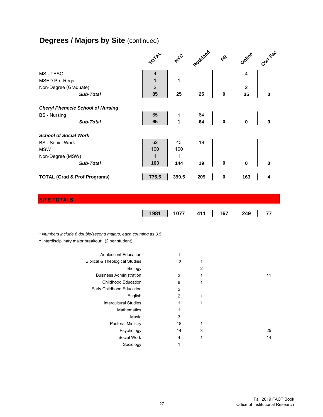# **Degrees / Majors by Site (continued)**

|                                         |                                                                | <b>TOTA</b>    | A <sub>c</sub>   | Rockland |           | Online           | Corrége |
|-----------------------------------------|----------------------------------------------------------------|----------------|------------------|----------|-----------|------------------|---------|
| MS - TESOL                              |                                                                | 4              |                  |          |           | 4                |         |
| <b>MSED Pre-Reqs</b>                    |                                                                | $\mathbf{1}$   | 1                |          |           |                  |         |
| Non-Degree (Graduate)                   |                                                                | $\overline{2}$ |                  |          |           | $\boldsymbol{2}$ |         |
|                                         | <b>Sub-Total</b>                                               | 85             | 25               | 25       | 0         | 35               | 0       |
|                                         | <b>Cheryl Phenecie School of Nursing</b>                       |                |                  |          |           |                  |         |
| <b>BS</b> - Nursing                     |                                                                | 65             | 1                | 64       |           |                  |         |
|                                         | Sub-Total                                                      | 65             | 1                | 64       | 0         | 0                | 0       |
|                                         |                                                                |                |                  |          |           |                  |         |
| <b>School of Social Work</b>            |                                                                |                |                  |          |           |                  |         |
| <b>BS</b> - Social Work                 |                                                                | 62             | 43               | 19       |           |                  |         |
| <b>MSW</b>                              |                                                                | 100            | 100              |          |           |                  |         |
| Non-Degree (MSW)                        |                                                                | $\mathbf{1}$   | 1                |          |           |                  |         |
|                                         | <b>Sub-Total</b>                                               | 163            | 144              | 19       | 0         | 0                | 0       |
| <b>TOTAL (Grad &amp; Prof Programs)</b> |                                                                | 775.5          | 399.5            | 209      | $\pmb{0}$ | 163              | 4       |
|                                         |                                                                |                |                  |          |           |                  |         |
|                                         |                                                                |                |                  |          |           |                  |         |
| <b>SITE TOTALS</b>                      |                                                                |                |                  |          |           |                  |         |
|                                         |                                                                |                |                  |          |           |                  |         |
|                                         |                                                                |                |                  |          |           |                  |         |
|                                         |                                                                | 1981           | 1077             | 411      | 167       | 249              | 77      |
|                                         |                                                                |                |                  |          |           |                  |         |
|                                         |                                                                |                |                  |          |           |                  |         |
|                                         | * Numbers include 6 double/second majors, each counting as 0.5 |                |                  |          |           |                  |         |
|                                         | ^ Interdisciplinary major breakout: (2 per student)            |                |                  |          |           |                  |         |
|                                         | <b>Adolescent Education</b>                                    |                | 1                |          |           |                  |         |
|                                         | <b>Biblical &amp; Theological Studies</b>                      |                | 13               | 1        |           |                  |         |
|                                         | Biology                                                        |                |                  | 2        |           |                  |         |
|                                         | <b>Business Administration</b>                                 |                | 2                | 1        |           |                  | 11      |
|                                         | <b>Childhood Education</b>                                     |                | 8                | 1        |           |                  |         |
|                                         | Early Childhood Education                                      |                | $\mathbf 2$      |          |           |                  |         |
|                                         | English                                                        |                | $\boldsymbol{2}$ | 1        |           |                  |         |
|                                         | <b>Intercultural Studies</b>                                   |                | 1                | 1        |           |                  |         |
|                                         | Mathematics                                                    |                | 1                |          |           |                  |         |
|                                         | Music                                                          |                | 3                |          |           |                  |         |
|                                         | Pastoral Ministry                                              |                | 18               | 1        |           |                  |         |
|                                         | Psychology                                                     |                | 14               | 3        |           |                  | 25      |

Sociology 1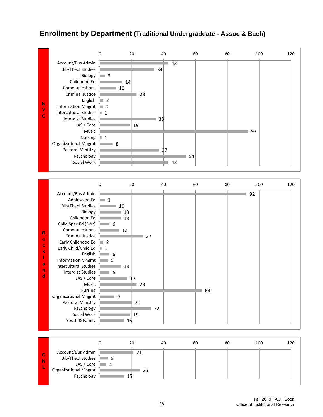#### **Enrollment by Department (Traditional Undergraduate - Assoc & Bach)**

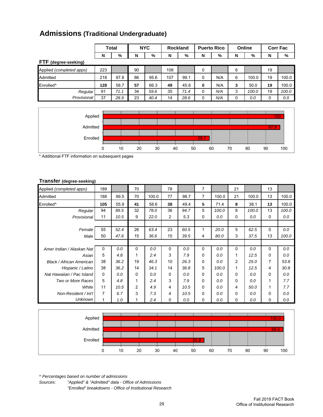|  |  | <b>Admissions (Traditional Undergraduate)</b> |
|--|--|-----------------------------------------------|
|--|--|-----------------------------------------------|

|     |      |              |      |            |      |                 |     |                    |       |        | <b>Corr Fac</b> |
|-----|------|--------------|------|------------|------|-----------------|-----|--------------------|-------|--------|-----------------|
| N   | %    | N            | %    | N          | %    | N               | %   | N                  | %     | N      | %               |
|     |      |              |      |            |      |                 |     |                    |       |        |                 |
| 223 |      | 90           |      | 108        |      | 0               |     | 6                  |       | 19     |                 |
| 218 | 97.8 | 86           | 95.6 | 107        | 99.1 | 0               | N/A | 6                  | 100.0 | 19     | 100.0           |
| 128 | 58.7 | 57           | 66.3 | 49         | 45.8 | 0               | N/A | 3                  | 50.0  | 19     | 100.0           |
| 91  | 71.1 | 34           | 59.6 | 35         | 71.4 | 0               | N/A | 3                  | 100.0 | 19     | 100.0           |
| 37  | 28.9 | 23           | 40.4 | 14         | 28.6 | 0               | N/A | 0                  | 0.0   | 0      | 0.0             |
|     |      | <b>Total</b> |      | <b>NYC</b> |      | <b>Rockland</b> |     | <b>Puerto Rico</b> |       | Online |                 |



\* Additional FTF information on subsequent pages

#### **Transfer (degree-seeking)**

| Applied (completed apps)  | 189      |      | 70             |       | 78             |      | 7 |       | 21             |       | 13       |       |
|---------------------------|----------|------|----------------|-------|----------------|------|---|-------|----------------|-------|----------|-------|
| Admitted                  | 188      | 99.5 | 70             | 100.0 | 77             | 98.7 | 7 | 100.0 | 21             | 100.0 | 13       | 100.0 |
| Enrolled <sup>^</sup>     | 105      | 55.9 | 41             | 58.6  | 38             | 49.4 | 5 | 71.4  | 8              | 38.1  | 13       | 100.0 |
| Regular                   | 94       | 89.5 | 32             | 78.0  | 36             | 94.7 | 5 | 100.0 | 8              | 100.0 | 13       | 100.0 |
| Provisional               | 11       | 10.5 | 9              | 22.0  | $\overline{c}$ | 5.3  | 0 | 0.0   | 0              | 0.0   | 0        | 0.0   |
|                           |          |      |                |       |                |      |   |       |                |       |          |       |
| Female                    | 55       | 52.4 | 26             | 63.4  | 23             | 60.5 | 1 | 20.0  | 5              | 62.5  | 0        | 0.0   |
| Male                      | 50       | 47.6 | 15             | 36.6  | 15             | 39.5 | 4 | 80.0  | 3              | 37.5  | 13       | 100.0 |
|                           |          |      |                |       |                |      |   |       |                |       |          |       |
| Amer Indian / Alaskan Nat | $\Omega$ | 0.0  | 0              | 0.0   | $\Omega$       | 0.0  | 0 | 0.0   | $\Omega$       | 0.0   | 0        | 0.0   |
| Asian                     | 5        | 4.8  | 1              | 2.4   | 3              | 7.9  | 0 | 0.0   | 1              | 12.5  | $\Omega$ | 0.0   |
| Black / African American  | 38       | 36.2 | 19             | 46.3  | 10             | 26.3 | 0 | 0.0   | $\overline{c}$ | 25.0  | 7        | 53.8  |
| Hispanic / Latino         | 38       | 36.2 | 14             | 34.1  | 14             | 36.8 | 5 | 100.0 | 1              | 12.5  | 4        | 30.8  |
| Nat Hawaiian / Pac Island | 0        | 0.0  | 0              | 0.0   | 0              | 0.0  | 0 | 0.0   | 0              | 0.0   | $\Omega$ | 0.0   |
| Two or More Races         | 5        | 4.8  | 1              | 2.4   | 3              | 7.9  | 0 | 0.0   | 0              | 0.0   | 1        | 7.7   |
| White                     | 11       | 10.5 | $\overline{c}$ | 4.9   | 4              | 10.5 | 0 | 0.0   | 4              | 50.0  | 1        | 7.7   |
| Non-Resident / Int'l      | 7        | 6.7  | 3              | 7.3   | 4              | 10.5 | 0 | 0.0   | $\Omega$       | 0.0   | $\Omega$ | 0.0   |
| <b>Unknown</b>            |          | 1.0  | 1              | 2.4   | 0              | 0.0  | 0 | 0.0   | 0              | 0.0   | 0        | 0.0   |



*^ Percentages based on number of admissions*

*Sources: "Applied" & "Admitted" data - Office of Admissions "Enrolled" breakdowns - Office of Institutional Research*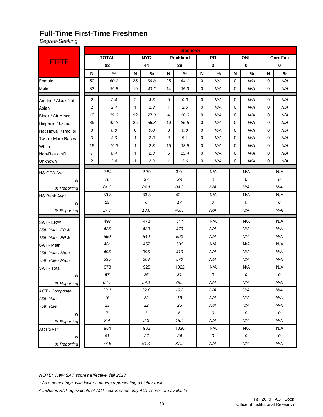#### **Full-Time First-Time Freshmen**

*Degree-Seeking*

|                        |                |                |            |                            |                           | <b>Bachelor</b>  |              |           |     |             |             |                 |
|------------------------|----------------|----------------|------------|----------------------------|---------------------------|------------------|--------------|-----------|-----|-------------|-------------|-----------------|
|                        |                | <b>TOTAL</b>   |            | <b>NYC</b>                 |                           | Rockland         |              | <b>PR</b> |     | <b>ONL</b>  |             | <b>Corr Fac</b> |
| <b>FTFTF</b>           |                | 83             |            | 44                         |                           | 39               |              | $\bf{0}$  |     | $\mathbf 0$ |             | $\mathbf 0$     |
|                        | N              | $\%$           | N          | $\%$                       | $\boldsymbol{\mathsf{N}}$ | $\%$             | N            | $\%$      | N   | $\%$        | $\mathbf N$ | $\%$            |
| Female                 | 50             | 60.2           | 25         | 56.8                       | 25                        | 64.1             | 0            | N/A       | 0   | N/A         | 0           | N/A             |
| Male                   | 33             | 39.8           | 19         | 43.2                       | 14                        | 35.9             | $\Omega$     | N/A       | 0   | N/A         | 0           | N/A             |
| Am Ind / Alask Nat     | $\overline{2}$ | 2.4            | 2          | 4.5                        | 0                         | 0.0              | 0            | N/A       | 0   | N/A         | 0           | N/A             |
| Asian                  | 2              | 2.4            | 1          | 2.3                        | 1                         | 2.6              | $\mathbf{0}$ | N/A       |     | 0<br>N/A    |             | N/A             |
| Black / Afr Amer       | 16             | 19.3           | 27.3<br>12 |                            | 4                         | 10.3             | $\Omega$     | N/A       | 0   | N/A         | 0           | N/A             |
| Hispanic / Latino      | 35             | 42.2           | 25<br>56.8 |                            | 10                        | 25.6             | 0            | N/A       | 0   | N/A         | 0           | N/A             |
| Nat Hawaii / Pac Isl   | 0              | $0.0\,$        | 0.0<br>0   |                            | 0                         | 0.0              | 0            | N/A       | 0   | N/A         | 0           | N/A             |
| Two or More Races      | 3              | 3.6            | 2.3<br>1   |                            | 2                         | 5.1              | 0            | N/A       | 0   | N/A         | 0           | N/A             |
| White                  | 16             | 19.3           | 2.3<br>1   |                            | 15                        | 38.5             | 0            | N/A       | 0   | N/A         | 0           | N/A             |
| Non-Res / Int'l        | $\overline{7}$ | 8.4            | 2.3<br>1   |                            | 6                         | 15.4             | $\mathbf{0}$ | N/A       | 0   | N/A         | 0           | N/A             |
| Unknown                | 2              | 2.4            | 2.3<br>1   |                            | 1                         | 2.6              | 0            | N/A       | 0   | N/A         | 0           | N/A             |
| HS GPA Avg             |                | 2.84           |            | 2.70                       |                           | 3.01             |              | N/A       |     | N/A         |             | N/A             |
| ${\cal N}$             |                | 70             |            | 37                         |                           | 33               |              | 0         |     | 0           |             | 0               |
| % Reporting            |                | 84.3           |            | 84.1                       |                           | 84.6             |              | N/A       |     | N/A         |             | N/A             |
| HS Rank Avg*           |                | 39.8           |            | 33.3                       |                           | 42.1             |              | N/A       |     | N/A         |             | N/A             |
| ${\cal N}$             |                | 23             |            | 6                          |                           | 17               | 0            |           | 0   |             |             | 0               |
| % Reporting            |                | 27.7           |            | 13.6                       |                           | 43.6             |              | N/A       |     | N/A         |             | N/A             |
| <b>SAT - ERW</b>       |                | 497            |            | 473                        |                           | 517              | N/A          |           | N/A |             |             | N/A             |
| 25th %ile - ERW        |                | 425            |            | 420                        |                           | 470              | N/A          |           |     | N/A         |             | N/A             |
| 75th %ile - ERW        |                | 560            |            | 540                        |                           | 590              |              | N/A       |     | N/A         |             | N/A             |
| SAT - Math             |                | 481            |            | 452                        |                           | 505              |              | N/A       |     | N/A         |             | N/A             |
| 25th %ile - Math       |                | 405            |            | 395                        |                           | 410              |              | N/A       |     | N/A         |             | N/A             |
| 75th %ile - Math       |                | 535            |            | 503                        |                           | 570              |              | N/A       |     | N/A         |             | N/A             |
| <b>SAT - Total</b>     |                | 978            |            | 925                        |                           | 1022             |              | N/A       |     | N/A         |             | N/A             |
| ${\cal N}$             |                | 57             |            | 26                         |                           | 31               |              | 0         |     | 0           |             | 0               |
| % Reporting            |                | 68.7           |            | 59.1                       |                           | 79.5             |              | N/A       |     | N/A         |             | N/A             |
| <b>ACT</b> - Composite |                | 20.1           |            | 22.0                       |                           | 19.8             |              | N/A       |     | N/A         |             | N/A             |
| 25th %ile              |                | 16             |            | 22                         |                           | $16\,$           |              | N/A       |     | N/A         |             | N/A             |
| 75th %ile              |                | 23             |            | 22                         |                           | 25               |              | N/A       |     | N/A         |             | N/A             |
| ${\cal N}$             |                | $\overline{7}$ |            | $\boldsymbol{\mathcal{I}}$ |                           | $\boldsymbol{6}$ |              | 0         |     | ${\cal O}$  |             | ${\cal O}$      |
| % Reporting            |                | 8.4            |            | 2.3                        |                           | 15.4             |              | N/A       |     | N/A         | N/A         |                 |
| ACT/SAT^               |                | 984            |            | 932                        |                           | 1026             |              | N/A       | N/A |             | N/A         |                 |
| ${\cal N}$             |                | 61             |            | 27                         |                           | 34               |              | 0         |     | 0           | 0           |                 |
| % Reporting            |                | 73.5           |            | 61.4                       |                           | 87.2             |              | N/A       |     | N/A         |             | N/A             |

*NOTE: New SAT scores effective fall 2017*

*\* As a percentage, with lower numbers representing a higher rank*

*^ Includes SAT equivalents of ACT scores when only ACT scores are available*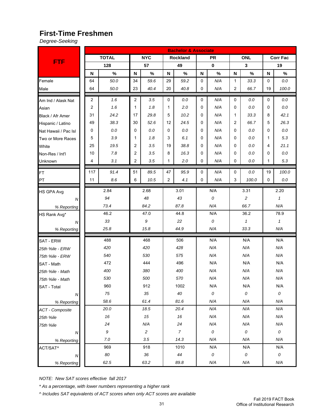### **First-Time Freshmen**

*Degree-Seeking*

|                      |     |                  |        |              |                | <b>Bachelor &amp; Associate</b> |     |           |              |                         |             |                 |
|----------------------|-----|------------------|--------|--------------|----------------|---------------------------------|-----|-----------|--------------|-------------------------|-------------|-----------------|
|                      |     | <b>TOTAL</b>     |        | <b>NYC</b>   |                | Rockland                        |     | <b>PR</b> |              | <b>ONL</b>              |             | <b>Corr Fac</b> |
| <b>FTF</b>           |     | 128              |        | 57           |                | 49                              |     | $\bf{0}$  |              | $\overline{\mathbf{3}}$ |             | 19              |
|                      | N   | $\%$             | N      | $\%$         | N              | $\%$                            | N   | $\%$      | N            | $\%$                    | N           | $\%$            |
| Female               | 64  | 50.0             | 34     | 59.6         | 29             | 59.2                            | 0   | N/A       | $\mathbf{1}$ | 33.3                    | $\mathbf 0$ | $0.0\,$         |
| Male                 | 64  | 50.0             | 23     | 40.4         | 20             | 40.8                            | 0   | N/A       | 2            | 66.7                    | 19          | 100.0           |
| Am Ind / Alask Nat   | 2   | 1.6              | 2      | 3.5          | 0              | $0.0\,$                         | 0   | N/A       | 0            | 0.0                     | $\mathbf 0$ | $0.0\,$         |
| Asian                | 2   | 1.6              | 1      | 1.8          | 1              | 2.0                             | 0   | N/A       | 0            | 0.0                     | 0           | $0.0\,$         |
| Black / Afr Amer     | 31  | 24.2             | 17     | 29.8         | 5              | 10.2                            | 0   | N/A       | $\mathbf{1}$ | 33.3                    | 8           | 42.1            |
| Hispanic / Latino    | 49  | 38.3             | 30     | 52.6         | 12             | 24.5                            | 0   | N/A       | 2            | 66.7                    | 5           | 26.3            |
| Nat Hawaii / Pac Isl | 0   | $0.0\,$          | 0      | $0.0\,$      | 0              | 0.0                             | 0   | N/A       | 0            | 0.0                     | 0           | $0.0\,$         |
| Two or More Races    | 5   | 3.9              | 1      | 1.8          | 3              | 6.1                             | 0   | N/A       | 0            | 0.0                     | 1           | 5.3             |
| White                | 25  | 19.5             | 2      | 3.5          | 19             | 38.8                            | 0   | N/A       | 0            | 0.0                     | 4           | 21.1            |
| Non-Res / Int'l      | 10  | 7.8              | 2      | 3.5          | 8              | 16.3                            | 0   | N/A       | 0            | 0.0                     | 0           | $0.0\,$         |
| Unknown              | 4   | 3.1              | 2      | 3.5          | 1              | 2.0                             | 0   | N/A       | 0            | 0.0                     | 1           | 5.3             |
| <b>FT</b>            | 117 | 91.4             | 51     | 89.5         | 47             | 95.9                            | 0   | N/A       | 0            | 0.0                     | 19          | 100.0           |
| PT                   | 11  | 8.6              | 6      | 10.5         | $\overline{2}$ | 4.1                             | 0   | N/A       | 3            | 100.0                   | $\Omega$    | 0.0             |
|                      |     |                  |        |              |                |                                 |     |           |              |                         |             |                 |
| <b>HS GPA Avg</b>    |     | 2.84             |        | 2.68         |                | 3.01                            |     | N/A       |              | 3.31                    |             | 2.20            |
| ${\cal N}$           |     | 94               |        | 48           |                | 43                              |     | 0         |              | $\overline{c}$          |             | $\mathbf{1}$    |
| % Reporting          |     | 73.4             |        | 84.2         |                | 87.8                            |     | N/A       | 66.7         |                         |             | N/A             |
| HS Rank Avg*         |     | 46.2             |        | 47.0         |                | 44.8                            |     | N/A       |              | 36.2                    |             | 78.9            |
| N                    |     | 33               |        | 9            |                | 22                              |     | 0         |              | $\mathbf{1}$            |             | $\mathbf{1}$    |
| % Reporting          |     | 25.8             |        | 15.8         |                | 44.9                            |     | N/A       |              | 33.3                    |             | N/A             |
| <b>SAT - ERW</b>     |     | 488              |        | 468          |                | 506                             |     | N/A       |              | N/A                     |             | N/A             |
| 25th %ile - ERW      |     | 420              |        | 420          |                | 428                             |     | N/A       |              | N/A                     |             | N/A             |
| 75th %ile - ERW      |     | 540              |        | 530          |                | 575                             |     | N/A       |              | N/A                     |             | N/A             |
| SAT - Math           |     | 472              |        | 444          |                | 496                             |     | N/A       |              | N/A                     |             | N/A             |
| 25th %ile - Math     |     | 400              |        | 380          |                | 400                             |     | N/A       |              | N/A                     |             | N/A             |
| 75th %ile - Math     |     | 530              |        | 500          |                | 570                             |     | N/A       |              | N/A                     |             | N/A             |
| SAT - Total          |     | 960              |        | 912          |                | 1002                            |     | N/A       |              | N/A                     |             | N/A             |
| ${\cal N}$           |     | 75               |        | 35           |                | 40                              |     | 0         |              | ${\cal O}$              |             | 0               |
| % Reporting          |     | 58.6             |        | 61.4         |                | 81.6                            |     | N/A       |              | N/A                     |             | N/A             |
| ACT - Composite      |     | 20.0             |        | 18.5         |                | 20.4                            |     | N/A       |              | N/A                     |             | N/A             |
| 25th %ile            |     | $16\,$           |        | $15\,$       |                | $16\,$                          |     | N/A       |              | N/A                     |             | N/A             |
| 75th %ile            |     | 24               |        | N/A          |                | 24                              |     | N/A       |              | N/A                     |             | N/A             |
| Ν                    |     | $\boldsymbol{g}$ |        | $\mathbf{2}$ |                | $\boldsymbol{7}$                |     | 0         |              | 0                       |             | ${\cal O}$      |
| % Reporting          |     | $7.0$            |        | 3.5          |                | 14.3                            |     | N/A       |              | N/A                     |             | N/A             |
| ACT/SAT^             |     | 969              |        | 918          |                | 1010                            |     | N/A       | N/A          |                         |             | N/A             |
| ${\cal N}$           |     | 80               | $36\,$ |              | 44             |                                 | 0   |           | ${\cal O}$   |                         | 0           |                 |
| % Reporting          |     | 62.5             |        | 63.2         |                | 89.8                            | N/A |           |              | N/A                     |             | N/A             |

*NOTE: New SAT scores effective fall 2017*

*\* As a percentage, with lower numbers representing a higher rank*

*^ Includes SAT equivalents of ACT scores when only ACT scores are available*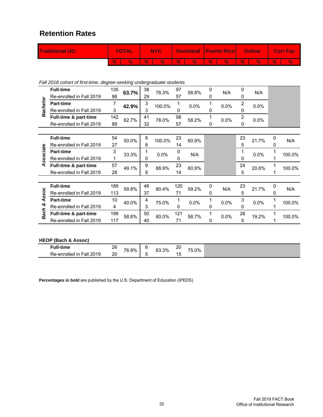#### **Retention Rates**

| <b>Traditional UG</b> | <b>TOTAL</b> |   | <b>NYC</b> |     |      |    | <b>Rockland Puerto Rico Confine</b> |    |    | Corr Fac |
|-----------------------|--------------|---|------------|-----|------|----|-------------------------------------|----|----|----------|
|                       |              | W | V.         | W I | $\%$ | W) | $\%$                                | N. | V. | V.       |

*Fall 2018 cohort of first-time, degree-seeking undergraduate students*

|             | <b>Full-time</b>         | 135 | 63.7% | 38 | 76.3%  | 97  | 58.8% | 0 | N/A     | 0              | N/A     |   |        |
|-------------|--------------------------|-----|-------|----|--------|-----|-------|---|---------|----------------|---------|---|--------|
|             | Re-enrolled in Fall 2019 | 86  |       | 29 |        | 57  |       | 0 |         | 0              |         |   |        |
| Bachelor    | <b>Part-time</b>         | 7   | 42.9% | 3  | 100.0% | 1   | 0.0%  |   | $0.0\%$ | $\overline{2}$ | 0.0%    |   |        |
|             | Re-enrolled in Fall 2019 | 3   |       | 3  |        | 0   |       | 0 |         | $\Omega$       |         |   |        |
|             | Full-time & part-time    | 142 | 62.7% | 41 | 78.0%  | 98  | 58.2% |   | $0.0\%$ | $\overline{2}$ | $0.0\%$ |   |        |
|             | Re-enrolled in Fall 2019 | 89  |       | 32 |        | 57  |       | 0 |         | $\Omega$       |         |   |        |
|             |                          |     |       |    |        |     |       |   |         |                |         |   |        |
|             | <b>Full-time</b>         | 54  | 50.0% | 8  | 100.0% | 23  | 60.9% |   |         | 23             | 21.7%   | 0 | N/A    |
|             | Re-enrolled in Fall 2019 | 27  |       | 8  |        | 14  |       |   |         | 5              |         | 0 |        |
| Associate   | <b>Part-time</b>         | 3   | 33.3% |    | 0.0%   | 0   | N/A   |   |         | 1              | 0.0%    |   | 100.0% |
|             | Re-enrolled in Fall 2019 |     |       | 0  |        | 0   |       |   |         | 0              |         |   |        |
|             | Full-time & part-time    | 57  | 49.1% | 9  | 88.9%  | 23  | 60.9% |   |         | 24             | 20.8%   |   | 100.0% |
|             | Re-enrolled in Fall 2019 | 28  |       | 8  |        | 14  |       |   |         | 5              |         |   |        |
|             |                          |     |       |    |        |     |       |   |         |                |         |   |        |
|             | <b>Full-time</b>         | 189 | 59.8% | 46 | 80.4%  | 120 | 59.2% | 0 | N/A     | 23             | 21.7%   | 0 | N/A    |
| <b>SSOC</b> | Re-enrolled in Fall 2019 | 113 |       | 37 |        | 71  |       | 0 |         | 5              |         | 0 |        |
| ব           | <b>Part-time</b>         | 10  | 40.0% | 4  | 75.0%  | 1   | 0.0%  |   | $0.0\%$ | 3              | 0.0%    |   | 100.0% |
| త           | Re-enrolled in Fall 2019 | 4   |       | 3  |        | 0   |       | 0 |         | $\Omega$       |         |   |        |
| <b>Bach</b> | Full-time & part-time    | 199 | 58.8% | 50 | 80.0%  | 121 | 58.7% |   | $0.0\%$ | 26             | 19.2%   |   | 100.0% |
|             | Re-enrolled in Fall 2019 | 117 |       | 40 |        | 71  |       | 0 |         | 5              |         |   |        |

#### **HEOP (Bach & Assoc)**

| Full-time                         | ገር<br>∠∪ | 76.9% | ∼                        | 83.3%<br>ററ | ว∩<br>∼ | 75.0% |
|-----------------------------------|----------|-------|--------------------------|-------------|---------|-------|
| 2019<br>Re-enrolled<br>Fall<br>ın | 20<br>__ |       | $\overline{\phantom{0}}$ |             | ◢<br>'' |       |

**Percentages in bold** are published by the U.S. Department of Education (IPEDS)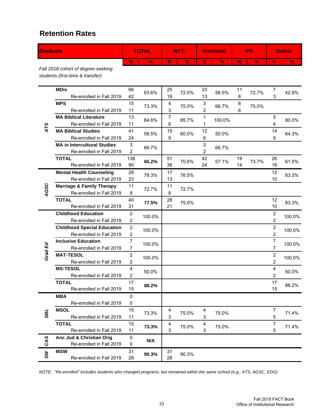#### **Retention Rates**

| Graduate |                                                                        | <b>TOTAL</b>                       |               | <b>NYC</b> |               |                     | <b>Rockland</b> |          | <b>PR</b>     |                                    | <b>Online</b> |
|----------|------------------------------------------------------------------------|------------------------------------|---------------|------------|---------------|---------------------|-----------------|----------|---------------|------------------------------------|---------------|
|          |                                                                        | N                                  | $\frac{9}{6}$ | N          | $\frac{9}{6}$ | N                   | $\frac{9}{6}$   | N        | $\frac{9}{6}$ | N                                  | $\frac{0}{6}$ |
|          | Fall 2018 cohort of degree-seeking<br>students (first-time & transfer) |                                    |               |            |               |                     |                 |          |               |                                    |               |
|          | <b>MDiv</b><br>Re-enrolled in Fall 2019                                | 66<br>42                           | 63.6%         | 25<br>18   | 72.0%         | 23<br>13            | 56.5%           | 11<br>8  | 72.7%         | 7<br>3                             | 42.9%         |
|          | <b>MPS</b><br>Re-enrolled in Fall 2019                                 | 15<br>11                           | 73.3%         | 4<br>3     | 75.0%         | 3<br>$\overline{2}$ | 66.7%           | 8<br>6   | 75.0%         |                                    |               |
| ATS      | <b>MA Biblical Literature</b><br>Re-enrolled in Fall 2019              | 13<br>11                           | 84.6%         | 7<br>6     | 85.7%         | 1<br>1              | 100.0%          |          |               | 5<br>4                             | 80.0%         |
|          | <b>MA Biblical Studies</b><br>Re-enrolled in Fall 2019                 | 41<br>24                           | 58.5%         | 15<br>9    | 60.0%         | 12<br>6             | 50.0%           |          |               | 14<br>9                            | 64.3%         |
|          | <b>MA in Intercultural Studies</b><br>Re-enrolled in Fall 2019         | 3<br>2                             | 66.7%         |            |               | 3<br>2              | 66.7%           |          |               |                                    |               |
|          | <b>TOTAL</b><br>Re-enrolled in Fall 2019                               | 138<br>90                          | 65.2%         | 51<br>36   | 70.6%         | 42<br>24            | 57.1%           | 19<br>14 | 73.7%         | 26<br>16                           | 61.5%         |
|          | <b>Mental Health Counseling</b><br>Re-enrolled in Fall 2019            | 29<br>23                           | 79.3%         | 17<br>13   | 76.5%         |                     |                 |          |               | 12<br>10                           | 83.3%         |
| AGSC     | <b>Marriage &amp; Family Therapy</b><br>Re-enrolled in Fall 2019       | 11<br>8                            | 72.7%         | 11<br>8    | 72.7%         |                     |                 |          |               |                                    |               |
|          | <b>TOTAL</b><br>Re-enrolled in Fall 2019                               | 40<br>31                           | 77.5%         | 28<br>21   | 75.0%         |                     |                 |          |               | 12<br>10                           | 83.3%         |
|          | <b>Childhood Education</b><br>Re-enrolled in Fall 2019                 | $\boldsymbol{2}$<br>$\overline{c}$ | 100.0%        |            |               |                     |                 |          |               | $\boldsymbol{2}$<br>$\overline{c}$ | 100.0%        |
|          | <b>Childhood Special Education</b><br>Re-enrolled in Fall 2019         | $\boldsymbol{2}$<br>2              | 100.0%        |            |               |                     |                 |          |               | $\overline{2}$<br>2                | 100.0%        |
| Grad Ed  | <b>Inclusive Education</b><br>Re-enrolled in Fall 2019                 | $\overline{7}$<br>$\overline{7}$   | 100.0%        |            |               |                     |                 |          |               | 7<br>7                             | 100.0%        |
|          | <b>MAT-TESOL</b><br>Re-enrolled in Fall 2019                           | $\boldsymbol{2}$<br>2              | 100.0%        |            |               |                     |                 |          |               | 2<br>2                             | 100.0%        |
|          | <b>MS-TESOL</b><br>Re-enrolled in Fall 2019                            | 4<br>2                             | 50.0%         |            |               |                     |                 |          |               | 4<br>2                             | 50.0%         |
|          | <b>TOTAL</b><br>Re-enrolled in Fall 2019                               | 17<br>15                           | 88.2%         |            |               |                     |                 |          |               | 17<br>15                           | 88.2%         |
|          | <b>MBA</b><br>Re-enrolled in Fall 2019                                 | 0<br>0                             |               |            |               |                     |                 |          |               |                                    |               |
| TBS      | <b>MSOL</b><br>Re-enrolled in Fall 2019                                | 15<br>11                           | 73.3%         | 4<br>3     | 75.0%         | 4<br>3              | 75.0%           |          |               | 7<br>5                             | 71.4%         |
|          | <b>TOTAL</b><br>Re-enrolled in Fall 2019                               | 15<br>11                           | 73.3%         | 4<br>3     | 75.0%         | 4<br>3              | 75.0%           |          |               | 7<br>5                             | 71.4%         |
| CAS      | Anc Jud & Christian Orig<br>Re-enrolled in Fall 2019                   | 0<br>0                             | N/A           |            |               |                     |                 |          |               |                                    |               |
| SW       | <b>MSW</b><br>Re-enrolled in Fall 2019                                 | 31<br>28                           | 90.3%         | 31<br>28   | 90.3%         |                     |                 |          |               |                                    |               |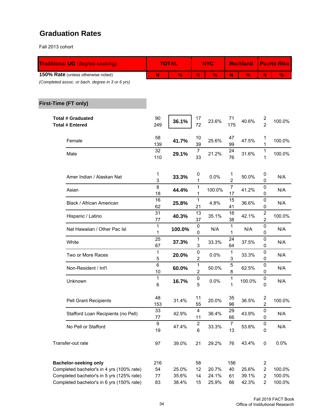### **Graduation Rates**

Fall 2013 cohort

| N         |                     |                                    |               |                        |               | <b>Puerto Rico</b>                        |                                  |
|-----------|---------------------|------------------------------------|---------------|------------------------|---------------|-------------------------------------------|----------------------------------|
|           | $\frac{9}{6}$       | N                                  | $\frac{9}{6}$ | N                      | $\frac{9}{6}$ | N                                         | $\frac{9}{6}$                    |
|           |                     |                                    |               |                        |               |                                           |                                  |
|           |                     |                                    |               |                        |               |                                           |                                  |
| 90<br>249 | 36.1%               | 17<br>72                           | 23.6%         | 71<br>175              | 40.6%         | $\overline{\mathbf{c}}$<br>$\overline{2}$ | 100.0%                           |
| 58<br>139 | 41.7%               | 10<br>39                           | 25.6%         | 47<br>99               | 47.5%         | 1<br>1                                    | 100.0%                           |
| 32<br>110 | 29.1%               | $\overline{7}$<br>33               | 21.2%         | 24<br>76               | 31.6%         | 1<br>1                                    | 100.0%                           |
| 1<br>3    | 33.3%               | 0<br>1                             | 0.0%          | 1<br>$\overline{c}$    | 50.0%         | 0<br>0                                    | N/A                              |
| 8<br>18   | 44.4%               | 1<br>1                             | 100.0%        | $\overline{7}$<br>17   | 41.2%         | 0<br>0                                    | N/A                              |
| 16<br>62  | 25.8%               | $\mathbf{1}$<br>21                 | 4.8%          | 15<br>41               | 36.6%         | 0<br>0                                    | N/A                              |
| 31<br>77  | 40.3%               | 13<br>37                           | 35.1%         | 16<br>38               | 42.1%         | $\overline{\mathbf{c}}$<br>$\overline{2}$ | 100.0%                           |
| 1<br>1    | 100.0%              | 0<br>0                             | N/A           | 1<br>1                 | N/A           | 0<br>0                                    | N/A                              |
| 25<br>67  | 37.3%               | 1<br>3                             | 33.3%         | 24<br>64               | 37.5%         | 0<br>0                                    | N/A                              |
| 1<br>5    | 20.0%               | 0<br>$\overline{2}$                | 0.0%          | 1<br>3                 | 33.3%         | 0<br>0                                    | N/A                              |
| 10        | 60.0%               | 1<br>$\overline{2}$                | 50.0%         | 8                      | 62.5%         | 0<br>0                                    | N/A                              |
| 1<br>6    | 16.7%               | 0<br>5                             | 0.0%          | 1<br>1                 | 100.0%        | 0<br>0                                    | N/A                              |
| 48<br>153 | 31.4%               | 11<br>55                           | 20.0%         | 35<br>96               | 36.5%         | 2<br>$\overline{2}$                       | 100.0%                           |
| 33<br>77  | 42.9%               | $\overline{\mathbf{4}}$<br>11      | 36.4%         | 29<br>66               | 43.9%         | $\pmb{0}$<br>0                            | N/A                              |
| 9<br>19   | 47.4%               | $\boldsymbol{2}$<br>$6\phantom{a}$ | 33.3%         | $\boldsymbol{7}$<br>13 | 53.8%         | 0<br>0                                    | N/A                              |
| 97        | 39.0%               | 21                                 | 29.2%         | 76                     | 43.4%         | 0                                         | 0.0%                             |
| 216       |                     | 58                                 |               | 156                    |               | $\overline{\mathbf{c}}$                   |                                  |
| 54        | 25.0%               | 12                                 | 20.7%         | 40                     | 25.6%         | $\overline{2}$                            | 100.0%                           |
|           |                     |                                    |               |                        |               |                                           | 100.0%<br>100.0%                 |
|           | $\,6\,$<br>77<br>83 | 35.6%<br>38.4%                     | 14<br>15      | 24.1%<br>25.9%         | 5<br>61<br>66 | 39.1%<br>42.3%                            | $\overline{c}$<br>$\overline{2}$ |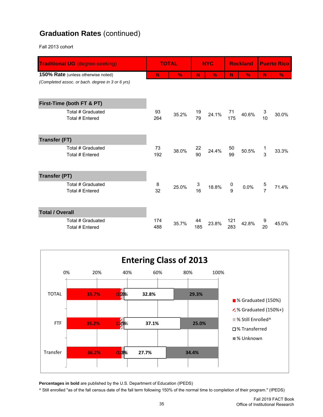## **Graduation Rates** (continued)

Fall 2013 cohort

| <b>Traditional UG (degree-seeking)</b>           |            | <b>TOTAL</b>  |           | <b>NYC</b>    |            | <b>Rockland</b> | <b>Puerto Rico</b> |               |
|--------------------------------------------------|------------|---------------|-----------|---------------|------------|-----------------|--------------------|---------------|
| 150% Rate (unless otherwise noted)               | N          | $\frac{0}{2}$ | N         | $\frac{9}{6}$ | N          | $\%$            | N                  | $\frac{9}{6}$ |
| (Completed assoc. or bach. degree in 3 or 6 yrs) |            |               |           |               |            |                 |                    |               |
| First-Time (both FT & PT)                        |            |               |           |               |            |                 |                    |               |
| Total # Graduated<br>Total # Entered             | 93<br>264  | 35.2%         | 19<br>79  | 24.1%         | 71<br>175  | 40.6%           | 3<br>10            | 30.0%         |
| <b>Transfer (FT)</b>                             |            |               |           |               |            |                 |                    |               |
| Total # Graduated<br><b>Total # Entered</b>      | 73<br>192  | 38.0%         | 22<br>90  | 24.4%         | 50<br>99   | 50.5%           | 3                  | 33.3%         |
| <b>Transfer (PT)</b>                             |            |               |           |               |            |                 |                    |               |
| Total # Graduated<br>Total # Entered             | 8<br>32    | 25.0%         | 3<br>16   | 18.8%         | 0<br>9     | 0.0%            | 5<br>7             | 71.4%         |
| <b>Total / Overall</b>                           |            |               |           |               |            |                 |                    |               |
| Total # Graduated<br>Total # Entered             | 174<br>488 | 35.7%         | 44<br>185 | 23.8%         | 121<br>283 | 42.8%           | 9<br>20            | 45.0%         |



**Percentages in bold** are published by the U.S. Department of Education (IPEDS)

^ Still enrolled "as of the fall census date of the fall term following 150% of the normal time to completion of their program." (IPEDS)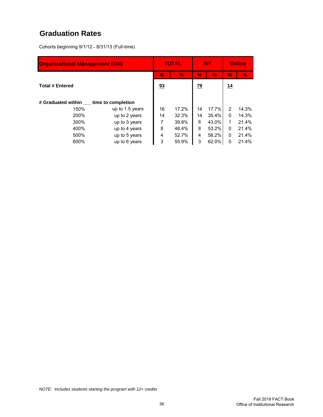## **Graduation Rates**

Cohorts beginning 9/1/12 - 8/31/13 (Full-time)

| <b>Organizational Management (OM)</b> |                    |    | <b>TOTAL</b>  |                 | <b>NY</b> | <b>Online</b> |       |
|---------------------------------------|--------------------|----|---------------|-----------------|-----------|---------------|-------|
|                                       |                    | N  | $\frac{0}{2}$ | N               | $\%$      | N             | %     |
| <b>Total # Entered</b>                |                    | 93 |               | $\overline{29}$ |           | 14            |       |
| # Graduated within                    | time to completion |    |               |                 |           |               |       |
| 150%                                  | up to 1.5 years    | 16 | 17.2%         | 14              | 17.7%     | 2             | 14.3% |
| 200%                                  | up to 2 years      | 14 | 32.3%         | 14              | 35.4%     | 0             | 14.3% |
| 300%                                  | up to 3 years      |    | 39.8%         | 6               | 43.0%     | 1             | 21.4% |
| 400%                                  | up to 4 years      | 8  | 48.4%         | 8               | 53.2%     | 0             | 21.4% |
| 500%                                  | up to 5 years      | 4  | 52.7%         | 4               | 58.2%     | 0             | 21.4% |
| 600%                                  | up to 6 years      | 3  | 55.9%         | 3               | 62.0%     | 0             | 21.4% |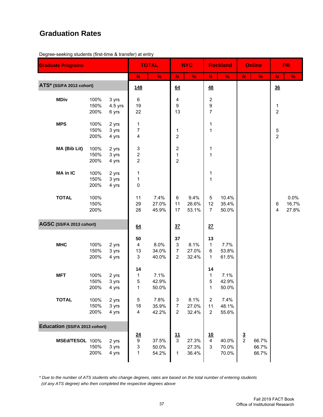### **Graduation Rates**

Degree-seeking students (first-time & transfer) at entry

| <b>Graduate Programs</b>      |                      |                           |                                                                  | <b>TOTAL</b>            |                                                                       | <b>NYC</b>              |                                                        | <b>Rockland</b>         |               | <b>Online</b>           |                                | <b>PR</b>              |
|-------------------------------|----------------------|---------------------------|------------------------------------------------------------------|-------------------------|-----------------------------------------------------------------------|-------------------------|--------------------------------------------------------|-------------------------|---------------|-------------------------|--------------------------------|------------------------|
|                               |                      |                           | ${\bf N}$                                                        | $\%$                    | $\mathbf N$                                                           | $\%$                    | $\mathbf N$                                            | $\%$                    | N             | $\%$                    | N                              | $\%$                   |
| ATS* (SS/FA 2013 cohort)      |                      |                           | <u>148</u>                                                       |                         | 64                                                                    |                         | 48                                                     |                         |               |                         | 36                             |                        |
| <b>MDiv</b>                   | 100%<br>150%<br>200% | 3 yrs<br>4.5 yrs<br>6 yrs | 6<br>19<br>22                                                    |                         | 4<br>9<br>13                                                          |                         | $\boldsymbol{2}$<br>$\boldsymbol{9}$<br>$\overline{7}$ |                         |               |                         | $\mathbf{1}$<br>$\overline{2}$ |                        |
| <b>MPS</b>                    | 100%<br>150%<br>200% | 2 yrs<br>3 yrs<br>4 yrs   | 1<br>7<br>4                                                      |                         | 1<br>$\overline{c}$                                                   |                         | 1<br>$\mathbf 1$                                       |                         |               |                         | 5<br>$\overline{2}$            |                        |
| MA (Bib Lit)                  | 100%<br>150%<br>200% | 2 yrs<br>3 yrs<br>4 yrs   | 3<br>$\overline{\mathbf{c}}$<br>$\overline{c}$                   |                         | $\overline{\mathbf{c}}$<br>1<br>$\overline{c}$                        |                         | 1<br>$\mathbf 1$                                       |                         |               |                         |                                |                        |
| MA in IC                      | 100%<br>150%<br>200% | 2 yrs<br>3 yrs<br>4 yrs   | 1<br>1<br>0                                                      |                         |                                                                       |                         | 1<br>$\mathbf 1$                                       |                         |               |                         |                                |                        |
| <b>TOTAL</b>                  | 100%<br>150%<br>200% |                           | 11<br>29<br>28                                                   | 7.4%<br>27.0%<br>45.9%  | $\,6\,$<br>11<br>17                                                   | 9.4%<br>26.6%<br>53.1%  | 5<br>12<br>$\overline{7}$                              | 10.4%<br>35.4%<br>50.0% |               |                         | 6<br>$\overline{\mathbf{4}}$   | 0.0%<br>16.7%<br>27.8% |
| AGSC (SS/FA 2013 cohort)      |                      |                           | 64                                                               |                         | 37                                                                    |                         | 27                                                     |                         |               |                         |                                |                        |
| <b>MHC</b>                    | 100%<br>150%<br>200% | 2 yrs<br>3 yrs<br>4 yrs   | 50<br>$\overline{\mathbf{4}}$<br>13<br>$\ensuremath{\mathsf{3}}$ | 8.0%<br>34.0%<br>40.0%  | 37<br>$\ensuremath{\mathsf{3}}$<br>$\boldsymbol{7}$<br>$\overline{2}$ | 8.1%<br>27.0%<br>32.4%  | 13<br>$\mathbf{1}$<br>6<br>1                           | 7.7%<br>53.8%<br>61.5%  |               |                         |                                |                        |
| <b>MFT</b>                    | 100%<br>150%<br>200% | 2 yrs<br>3 yrs<br>4 yrs   | 14<br>1<br>5<br>1                                                | 7.1%<br>42.9%<br>50.0%  |                                                                       |                         | 14<br>$\mathbf{1}$<br>$\mathbf 5$<br>$\mathbf{1}$      | 7.1%<br>42.9%<br>50.0%  |               |                         |                                |                        |
| <b>TOTAL</b>                  | 100%<br>150%<br>200% | 2 yrs<br>3 yrs<br>4 yrs   | 5<br>18<br>$\overline{\mathbf{4}}$                               | 7.8%<br>35.9%<br>42.2%  | 3<br>$\overline{7}$<br>2                                              | 8.1%<br>27.0%<br>32.4%  | $\overline{2}$<br>11<br>$\overline{2}$                 | 7.4%<br>48.1%<br>55.6%  |               |                         |                                |                        |
| Education (SS/FA 2013 cohort) |                      |                           |                                                                  |                         |                                                                       |                         |                                                        |                         |               |                         |                                |                        |
| MSEd/TESOL 100%               | 150%<br>200%         | 2 yrs<br>3 yrs<br>4 yrs   | <u>24</u><br>$\boldsymbol{9}$<br>3<br>1                          | 37.5%<br>50.0%<br>54.2% | $\frac{11}{3}$<br>1                                                   | 27.3%<br>27.3%<br>36.4% | 10<br>$\overline{4}$<br>3                              | 40.0%<br>70.0%<br>70.0% | $\frac{3}{2}$ | 66.7%<br>66.7%<br>66.7% |                                |                        |

*\* Due to the number of ATS students who change degrees, rates are based on the total number of entering students (of any ATS degree) who then completed the respective degrees above*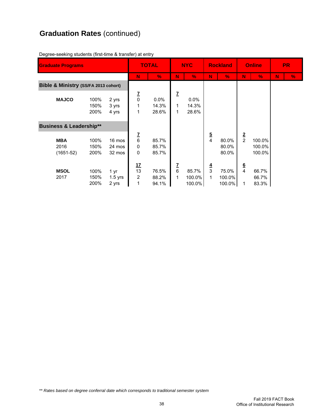# **Graduation Rates** (continued)

| <b>Graduate Programs</b>             |                      |                            | <b>TOTAL</b>                      |                           | <b>NYC</b>                      |                           | <b>Rockland</b>                       |                           | <b>Online</b>      |                            | <b>PR</b> |               |
|--------------------------------------|----------------------|----------------------------|-----------------------------------|---------------------------|---------------------------------|---------------------------|---------------------------------------|---------------------------|--------------------|----------------------------|-----------|---------------|
|                                      |                      |                            | N                                 | $\frac{9}{6}$             | N                               | $\%$                      | N                                     | $\frac{0}{6}$             | N                  | $\frac{0}{6}$              | N         | $\frac{9}{6}$ |
| Bible & Ministry (SS/FA 2013 cohort) |                      |                            |                                   |                           |                                 |                           |                                       |                           |                    |                            |           |               |
| <b>MAJCO</b>                         | 100%<br>150%<br>200% | 2 yrs<br>3 yrs<br>4 yrs    | $\frac{7}{0}$<br>1<br>1           | $0.0\%$<br>14.3%<br>28.6% | Z<br>1<br>1                     | $0.0\%$<br>14.3%<br>28.6% |                                       |                           |                    |                            |           |               |
| <b>Business &amp; Leadership**</b>   |                      |                            |                                   |                           |                                 |                           |                                       |                           |                    |                            |           |               |
| <b>MBA</b><br>2016<br>$(1651-52)$    | 100%<br>150%<br>200% | 16 mos<br>24 mos<br>32 mos | $\frac{7}{6}$<br>0<br>$\mathbf 0$ | 85.7%<br>85.7%<br>85.7%   |                                 |                           | $\frac{5}{4}$                         | 80.0%<br>80.0%<br>80.0%   | $\frac{2}{2}$      | 100.0%<br>100.0%<br>100.0% |           |               |
| <b>MSOL</b><br>2017                  | 100%<br>150%<br>200% | 1 yr<br>$1.5$ yrs<br>2 yrs | <u>17</u><br>13<br>2<br>1         | 76.5%<br>88.2%<br>94.1%   | <u>7</u><br>$6\phantom{1}$<br>1 | 85.7%<br>100.0%<br>100.0% | $\overline{4}$<br>$\overline{3}$<br>1 | 75.0%<br>100.0%<br>100.0% | $\frac{6}{4}$<br>1 | 66.7%<br>66.7%<br>83.3%    |           |               |

Degree-seeking students (first-time & transfer) at entry

*\*\* Rates based on degree conferral date which corresponds to traditional semester system*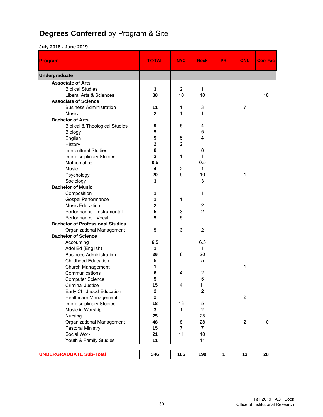# **Degrees Conferred** by Program & Site

| Program                                   | <b>TOTAL</b>               | <b>NYC</b>         | <b>Rock</b>                  | <b>PR</b> | ONL            | <b>Corr Fac</b> |
|-------------------------------------------|----------------------------|--------------------|------------------------------|-----------|----------------|-----------------|
| <b>Undergraduate</b>                      |                            |                    |                              |           |                |                 |
| <b>Associate of Arts</b>                  |                            |                    |                              |           |                |                 |
| <b>Biblical Studies</b>                   | 3                          | $\overline{2}$     | 1                            |           |                |                 |
| Liberal Arts & Sciences                   | 38                         | 10                 | 10                           |           |                | 18              |
| <b>Associate of Science</b>               |                            |                    |                              |           |                |                 |
| <b>Business Administration</b>            | 11                         | 1                  | $\ensuremath{\mathsf{3}}$    |           | $\overline{7}$ |                 |
| Music                                     | $\overline{2}$             | 1                  | 1                            |           |                |                 |
| <b>Bachelor of Arts</b>                   |                            |                    |                              |           |                |                 |
| <b>Biblical &amp; Theological Studies</b> | 9                          | 5                  | 4                            |           |                |                 |
| Biology                                   | 5                          |                    | $\mathbf 5$                  |           |                |                 |
| English                                   | 9                          | 5                  | 4                            |           |                |                 |
| History                                   | $\mathbf 2$                | $\overline{2}$     |                              |           |                |                 |
| <b>Intercultural Studies</b>              | 8                          |                    | 8                            |           |                |                 |
| <b>Interdisciplinary Studies</b>          | $\mathbf{2}$               | 1                  | 1                            |           |                |                 |
| <b>Mathematics</b>                        | 0.5                        |                    | 0.5                          |           |                |                 |
| <b>Music</b>                              | 4                          | 3                  | 1                            |           |                |                 |
| Psychology                                | 20                         | 9                  | 10                           |           | 1              |                 |
| Sociology                                 | 3                          |                    | 3                            |           |                |                 |
| <b>Bachelor of Music</b>                  |                            |                    |                              |           |                |                 |
| Composition                               | 1                          |                    | 1                            |           |                |                 |
| Gospel Performance                        | 1                          | 1                  |                              |           |                |                 |
| <b>Music Education</b>                    | $\mathbf 2$                |                    | $\overline{c}$               |           |                |                 |
| Performance: Instrumental                 | 5                          | 3                  | $\overline{2}$               |           |                |                 |
| Performance: Vocal                        | 5                          | 5                  |                              |           |                |                 |
| <b>Bachelor of Professional Studies</b>   |                            |                    |                              |           |                |                 |
| Organizational Management                 | 5                          | 3                  | $\overline{2}$               |           |                |                 |
| <b>Bachelor of Science</b>                |                            |                    |                              |           |                |                 |
| Accounting                                | 6.5                        |                    | 6.5                          |           |                |                 |
| Adol Ed (English)                         | 1                          |                    | 1                            |           |                |                 |
| <b>Business Administration</b>            | 26                         | 6                  | 20                           |           |                |                 |
| <b>Childhood Education</b>                | 5                          |                    | 5                            |           |                |                 |
| Church Management                         | 1                          |                    |                              |           | 1              |                 |
| Communications                            | 6<br>5                     | 4                  | $\overline{\mathbf{c}}$<br>5 |           |                |                 |
| <b>Computer Science</b>                   | 15                         | 4                  |                              |           |                |                 |
| <b>Criminal Justice</b>                   |                            |                    | 11                           |           |                |                 |
| Early Childhood Education                 | $\mathbf 2$<br>$\mathbf 2$ |                    | $\overline{c}$               |           | $\overline{2}$ |                 |
| Healthcare Management                     | 18                         |                    |                              |           |                |                 |
| <b>Interdisciplinary Studies</b>          | 3                          | 13<br>$\mathbf{1}$ | 5<br>$\overline{2}$          |           |                |                 |
| Music in Worship                          | 25                         |                    | 25                           |           |                |                 |
| Nursing<br>Organizational Management      | 48                         | 8                  | 28                           |           | $\overline{2}$ | 10              |
| Pastoral Ministry                         | 15                         | $\overline{7}$     | $\overline{7}$               | 1         |                |                 |
| Social Work                               | 21                         | 11                 | 10                           |           |                |                 |
| Youth & Family Studies                    | 11                         |                    | 11                           |           |                |                 |
|                                           |                            |                    |                              |           |                |                 |
| <b>UNDERGRADUATE Sub-Total</b>            | 346                        | 105                | 199                          | 1         | 13             | 28              |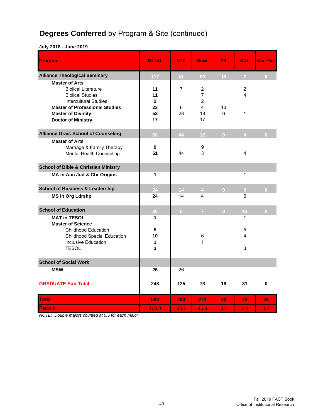# **Degrees Conferred** by Program & Site (continued)

**July 2018 - June 2019**

| Program                                                                                                                                                 | <b>TOTAL</b>                   | <b>NYC</b>          | <b>Rock</b>                                                                   | <b>PR</b>      | <b>ONL</b>     | <b>Corr Fac</b> |
|---------------------------------------------------------------------------------------------------------------------------------------------------------|--------------------------------|---------------------|-------------------------------------------------------------------------------|----------------|----------------|-----------------|
| <b>Alliance Theological Seminary</b>                                                                                                                    | 117                            | 41                  | 50                                                                            | 19             | $\overline{7}$ | $\overline{0}$  |
| <b>Master of Arts</b><br><b>Biblical Literature</b><br><b>Biblical Studies</b><br><b>Intercultural Studies</b><br><b>Master of Professional Studies</b> | 11<br>11<br>$\mathbf{2}$<br>23 | $\overline{7}$<br>6 | $\overline{2}$<br>$\overline{7}$<br>$\overline{2}$<br>$\overline{\mathbf{4}}$ | 13             | 2<br>4         |                 |
| <b>Master of Divinity</b><br><b>Doctor of Ministry</b>                                                                                                  | 53<br>17                       | 28                  | 18<br>17                                                                      | 6              | 1              |                 |
| <b>Alliance Grad. School of Counseling</b>                                                                                                              | 60                             | 44                  | 12 <sub>1</sub>                                                               | $\mathbf{0}$   | $\overline{4}$ | $\overline{0}$  |
| <b>Master of Arts</b><br>Marriage & Family Therapy<br>Mental Health Counseling                                                                          | 9<br>51                        | 44                  | 9<br>3                                                                        |                | 4              |                 |
| <b>School of Bible &amp; Christian Ministry</b>                                                                                                         |                                |                     |                                                                               |                |                |                 |
| MA in Anc Jud & Chr Origins                                                                                                                             | 1                              |                     |                                                                               |                | 1              |                 |
| <b>School of Business &amp; Leadership</b>                                                                                                              | 24                             | 14                  | 4 <sup>1</sup>                                                                | $\overline{0}$ | 6 <sup>1</sup> | $\overline{0}$  |
| <b>MS in Org Ldrshp</b>                                                                                                                                 | 24                             | 14                  | 4                                                                             |                | 6              |                 |
| <b>School of Education</b>                                                                                                                              | 20                             | $\overline{0}$      | $\overline{7}$                                                                | $\overline{0}$ | 13             | $\overline{0}$  |
| <b>MAT in TESOL</b><br><b>Master of Science</b>                                                                                                         | 1                              |                     |                                                                               |                | 1              |                 |
| <b>Childhood Education</b><br><b>Childhood Special Education</b><br><b>Inclusive Education</b>                                                          | 5<br>10<br>1                   |                     | 6<br>1                                                                        |                | 5<br>4         |                 |
| <b>TESOL</b>                                                                                                                                            | 3                              |                     |                                                                               |                | 3              |                 |
| <b>School of Social Work</b>                                                                                                                            |                                |                     |                                                                               |                |                |                 |
| <b>MSW</b>                                                                                                                                              | 26                             | 26                  |                                                                               |                |                |                 |
| <b>GRADUATE Sub-Total</b>                                                                                                                               | 248                            | 125                 | 73                                                                            | 19             | 31             | 0               |
| <b>Total</b>                                                                                                                                            | 594                            | 230                 | 272                                                                           | 20             | 44             | 28              |
| Percent                                                                                                                                                 | 100.0                          | 38.7                | 45.8                                                                          | 3.4            | 7.4            | 4.7             |

*NOTE: Double majors counted at 0.5 for each major*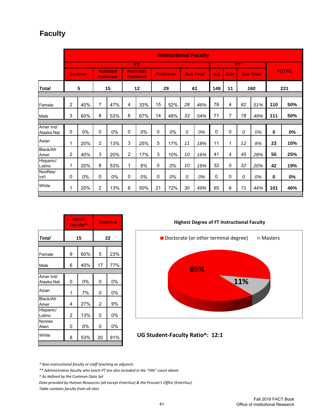## **Faculty**

|                         |                |          |                |                               |                |                                      |    |                  |    | <b>Instructional Faculty</b> |     |      |    |                  |     |              |
|-------------------------|----------------|----------|----------------|-------------------------------|----------------|--------------------------------------|----|------------------|----|------------------------------|-----|------|----|------------------|-----|--------------|
|                         |                |          |                |                               |                | FT                                   |    |                  |    |                              |     |      | PT |                  |     |              |
|                         |                | Lecturer |                | <b>Assistant</b><br>Professor |                | <b>Associate</b><br><b>Professor</b> |    | <b>Professor</b> |    | <b>Sub Total</b>             | Adi | Oth* |    | <b>Sub Total</b> |     | <b>TOTAL</b> |
| <b>Total</b>            |                | 5        |                | 15                            |                | 12                                   |    | 29               |    | 61                           | 149 | 11   |    | 160              |     | 221          |
|                         |                |          |                |                               |                |                                      |    |                  |    |                              |     |      |    |                  |     |              |
| Female                  | $\overline{2}$ | 40%      | 7              | 47%                           | 4              | 33%                                  | 15 | 52%              | 28 | 46%                          | 78  | 4    | 82 | 51%              | 110 | 50%          |
| Male                    | 3              | 60%      | 8              | 53%                           | 8              | 67%                                  | 14 | 48%              | 33 | 54%                          | 71  | 7    | 78 | 49%              | 111 | 50%          |
|                         |                |          |                |                               |                |                                      |    |                  |    |                              |     |      |    |                  |     |              |
| Amer Ind/<br>Alaska Nat | 0              | 0%       | 0              | 0%                            | 0              | 0%                                   | 0  | 0%               | 0  | 0%                           | 0   | 0    | 0  | 0%               | 0   | 0%           |
| Asian                   | 1              | 20%      | 2              | 13%                           | 3              | 25%                                  | 5  | 17%              | 11 | 18%                          | 11  | 1    | 12 | 8%               | 23  | 10%          |
| Black/Afr<br>Amer       | $\overline{2}$ | 40%      | 3              | 20%                           | $\overline{2}$ | 17%                                  | 3  | 10%              | 10 | 16%                          | 41  | 4    | 45 | 28%              | 55  | 25%          |
| Hispanic/<br>Latino     | 1              | 20%      | 8              | 53%                           | 1              | 8%                                   | 0  | 0%               | 10 | 16%                          | 32  | 0    | 32 | 20%              | 42  | 19%          |
| NonRes/<br>Int'l        | 0              | 0%       | 0              | 0%                            | 0              | 0%                                   | 0  | 0%               | 0  | 0%                           | 0   | 0    | 0  | 0%               | 0   | 0%           |
| White                   | 1              | 20%      | $\overline{2}$ | 13%                           | 6              | 50%                                  | 21 | 72%              | 30 | 49%                          | 65  | 6    | 71 | 44%              | 101 | 46%          |

|                         | <b>Admin</b><br>Faculty** |     | <b>Emeritus</b> |     |  |  |
|-------------------------|---------------------------|-----|-----------------|-----|--|--|
| <b>Total</b>            |                           | 15  | 22              |     |  |  |
|                         |                           |     |                 |     |  |  |
| Female                  | 9                         | 60% | 5               | 23% |  |  |
| Male                    | 6                         | 40% | 17              | 77% |  |  |
|                         |                           |     |                 |     |  |  |
| Amer Ind/<br>Alaska Nat | 0                         | 0%  | 0               | 0%  |  |  |
| Asian                   | 1                         | 7%  | 0               | 0%  |  |  |
| Black/Afr<br>Amer       | 4                         | 27% | $\overline{2}$  | 9%  |  |  |
| Hispanic/<br>Latino     | $\overline{2}$            | 13% | 0               | 0%  |  |  |
| Nonres<br>Alien         | 0                         | 0%  | 0               | 0%  |  |  |
| White                   | 8                         | 53% | 20              | 91% |  |  |
|                         |                           |     |                 |     |  |  |

**Highest Degree of FT Instructional Faculty**



**UG Student‐Faculty Ratio^: 12:1**

*\* Non‐instructional faculty or staff teaching as adjuncts*

*\*\* Administrative faculty who teach PT are also included in the "Oth" count above*

*^ As defined by the Common Data Set*

*Data provided by Human Resources (all except Emeritus) & the Provost's Office (Emeritus) Table contains faculty from all sites*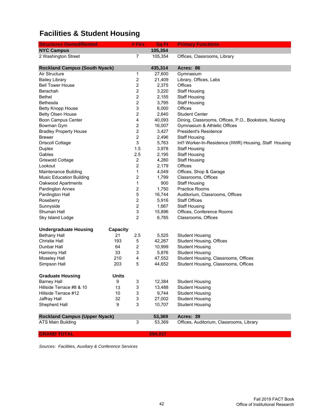# **Facilities & Student Housing**

| <b>Structures Owned/Rented</b>       |                 | # Firs                  | Sq Ft   | <b>Primary Functions</b>                                |
|--------------------------------------|-----------------|-------------------------|---------|---------------------------------------------------------|
| <b>NYC Campus</b>                    |                 |                         | 105,354 |                                                         |
| 2 Washington Street                  |                 | 7                       | 105,354 | Offices, Classrooms, Library                            |
|                                      |                 |                         |         |                                                         |
| <b>Rockland Campus (South Nyack)</b> |                 |                         | 435,314 | Acres: 86                                               |
| Air Structure                        |                 | 1                       | 27,600  | Gymnasium                                               |
| <b>Bailey Library</b>                |                 | $\overline{\mathbf{c}}$ | 21,409  | Library, Offices, Labs                                  |
| <b>Bell Tower House</b>              |                 | 2                       | 2,375   | Offices                                                 |
| Berachah                             |                 | 2                       | 3,220   | <b>Staff Housing</b>                                    |
| <b>Bethel</b>                        |                 | $\overline{\mathbf{c}}$ | 2,155   | <b>Staff Housing</b>                                    |
| Bethesda                             |                 | $\boldsymbol{2}$        | 3,795   | <b>Staff Housing</b>                                    |
| <b>Betty Knopp House</b>             |                 | 3                       | 6,000   | Offices                                                 |
| Betty Olsen House                    |                 | 2                       | 2,640   | <b>Student Center</b>                                   |
| Boon Campus Center                   |                 | 4                       | 40,093  | Dining, Classrooms, Offices, P.O., Bookstore, Nursing   |
| Bowman Gym                           |                 | 2                       | 16,007  | Gymnasium & Athletic Offices                            |
| <b>Bradley Property House</b>        |                 | $\overline{\mathbf{c}}$ | 3,427   | President's Residence                                   |
| <b>Brewer</b>                        |                 | $\boldsymbol{2}$        | 2,496   | <b>Staff Housing</b>                                    |
| <b>Driscoll Cottage</b>              |                 | 3                       | 5,763   | Int'l Worker-In-Residence (IWIR) Housing, Staff Housing |
| Duplex                               |                 | 1.5                     | 3,978   | <b>Staff Housing</b>                                    |
| Gables                               |                 | 2.5                     | 2,195   | <b>Staff Housing</b>                                    |
| Griswold Cottage                     |                 | $\boldsymbol{2}$        | 4,280   | <b>Staff Housing</b>                                    |
| Lookout                              |                 | $\overline{\mathbf{c}}$ | 2,179   | Offices                                                 |
| Maintenance Building                 |                 | 1                       | 4,049   | Offices, Shop & Garage                                  |
| <b>Music Education Building</b>      |                 | 2                       | 1,799   | Classrooms, Offices                                     |
| Oakwood Apartments                   |                 | 1                       | 900     | <b>Staff Housing</b>                                    |
| Pardington Annex                     |                 | $\boldsymbol{2}$        | 1,750   | <b>Practice Rooms</b>                                   |
| Pardington Hall                      |                 | 5                       | 16,744  | Auditorium, Classrooms, Offices                         |
| Roseberry                            |                 | $\boldsymbol{2}$        | 5,916   | <b>Staff Offices</b>                                    |
| Sunnyside                            |                 | $\boldsymbol{2}$        | 1,667   | <b>Staff Housing</b>                                    |
| Shuman Hall                          |                 | 3                       | 15,896  | Offices, Conference Rooms                               |
| Sky Island Lodge                     |                 | $\overline{2}$          | 6,785   | Classrooms, Offices                                     |
|                                      |                 |                         |         |                                                         |
| <b>Undergraduate Housing</b>         | <b>Capacity</b> |                         |         |                                                         |
| <b>Bethany Hall</b>                  | 21              | 2.5                     | 5,525   | <b>Student Housing</b>                                  |
| <b>Christie Hall</b>                 | 193             | 5                       | 42,267  | <b>Student Housing, Offices</b>                         |
| Dunbar Hall                          | 64              | 2                       | 10,999  | <b>Student Housing</b>                                  |
| Harmony Hall                         | 33              | 3                       | 5,876   | <b>Student Housing</b>                                  |
| Moseley Hall                         | 210             | 4                       | 47,552  | Student Housing, Classrooms, Offices                    |
| Simpson Hall                         | 203             | 5                       | 44,652  | Student Housing, Classrooms, Offices                    |
| <b>Graduate Housing</b>              | Units           |                         |         |                                                         |
| <b>Barney Hall</b>                   | 9               | 3                       | 12,384  | <b>Student Housing</b>                                  |
| Hillside Terrace #8 & 10             | 13              | 3                       | 13,488  | <b>Student Housing</b>                                  |
| Hillside Terrace #12                 | 10              | 3                       | 9,744   | <b>Student Housing</b>                                  |
| Jaffray Hall                         | 32              | 3                       | 27,002  | <b>Student Housing</b>                                  |
| Shepherd Hall                        | 9               | 3                       | 10,707  | <b>Student Housing</b>                                  |
|                                      |                 |                         |         |                                                         |
| <b>Rockland Campus (Upper Nyack)</b> |                 |                         | 53,369  | Acres: 39                                               |
| <b>ATS Main Building</b>             |                 | 3                       | 53,369  | Offices, Auditorium, Classrooms, Library                |
| <b>GRAND TOTAL</b>                   |                 |                         | 594,037 |                                                         |

*Sources: Facilities, Auxiliary & Conference Services*